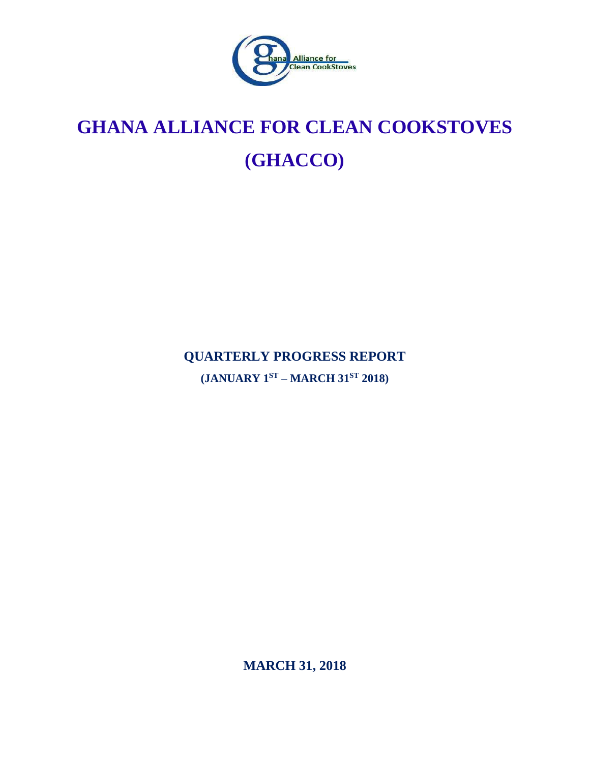

# **GHANA ALLIANCE FOR CLEAN COOKSTOVES (GHACCO)**

**QUARTERLY PROGRESS REPORT**

**(JANUARY 1 ST – MARCH 31ST 2018)**

**MARCH 31, 2018**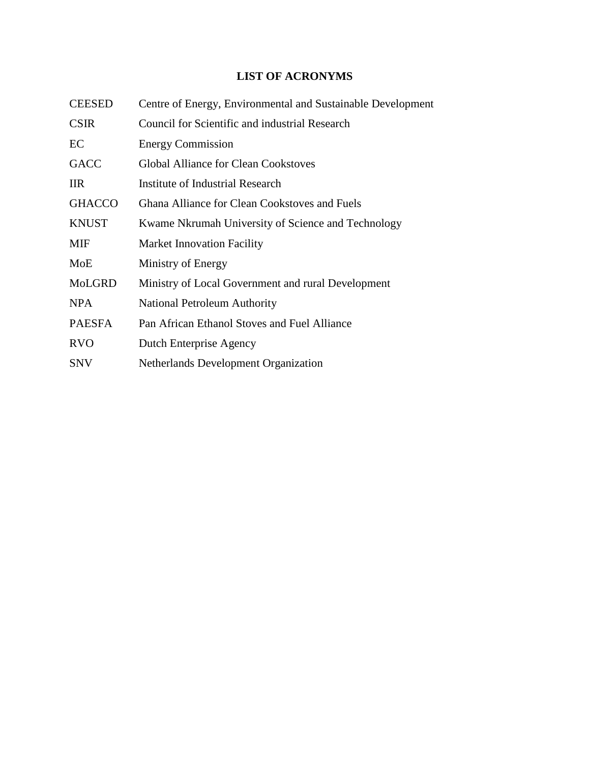# **LIST OF ACRONYMS**

<span id="page-1-0"></span>

| <b>CEESED</b> | Centre of Energy, Environmental and Sustainable Development |
|---------------|-------------------------------------------------------------|
| <b>CSIR</b>   | <b>Council for Scientific and industrial Research</b>       |
| EC            | <b>Energy Commission</b>                                    |
| <b>GACC</b>   | <b>Global Alliance for Clean Cookstoves</b>                 |
| <b>IIR</b>    | Institute of Industrial Research                            |
| <b>GHACCO</b> | <b>Ghana Alliance for Clean Cookstoves and Fuels</b>        |
| <b>KNUST</b>  | Kwame Nkrumah University of Science and Technology          |
| MIF           | <b>Market Innovation Facility</b>                           |
| MoE           | Ministry of Energy                                          |
| MoLGRD        | Ministry of Local Government and rural Development          |
| <b>NPA</b>    | <b>National Petroleum Authority</b>                         |
| <b>PAESFA</b> | Pan African Ethanol Stoves and Fuel Alliance                |
| <b>RVO</b>    | Dutch Enterprise Agency                                     |
| <b>SNV</b>    | <b>Netherlands Development Organization</b>                 |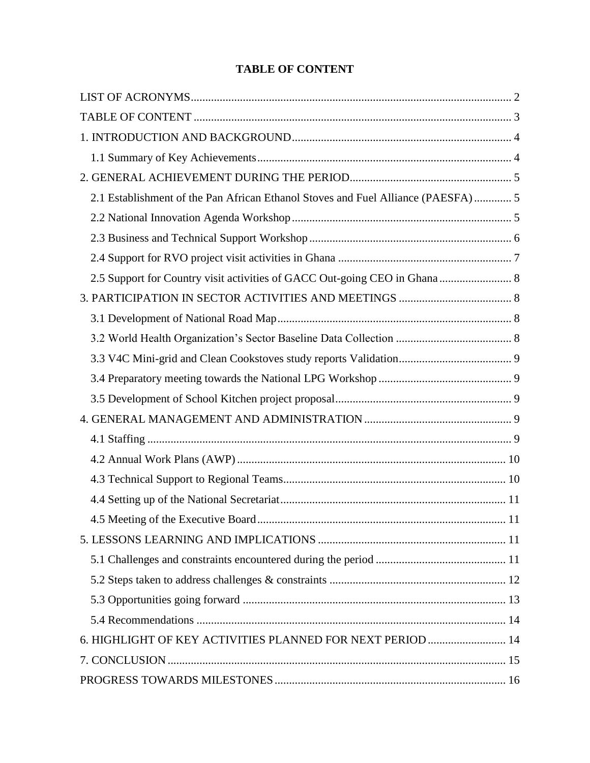# **TABLE OF CONTENT**

<span id="page-2-0"></span>

| 2.1 Establishment of the Pan African Ethanol Stoves and Fuel Alliance (PAESFA)  5 |  |
|-----------------------------------------------------------------------------------|--|
|                                                                                   |  |
|                                                                                   |  |
|                                                                                   |  |
| 2.5 Support for Country visit activities of GACC Out-going CEO in Ghana 8         |  |
|                                                                                   |  |
|                                                                                   |  |
|                                                                                   |  |
|                                                                                   |  |
|                                                                                   |  |
|                                                                                   |  |
|                                                                                   |  |
|                                                                                   |  |
|                                                                                   |  |
|                                                                                   |  |
|                                                                                   |  |
| 11                                                                                |  |
|                                                                                   |  |
|                                                                                   |  |
|                                                                                   |  |
|                                                                                   |  |
|                                                                                   |  |
| 6. HIGHLIGHT OF KEY ACTIVITIES PLANNED FOR NEXT PERIOD  14                        |  |
|                                                                                   |  |
|                                                                                   |  |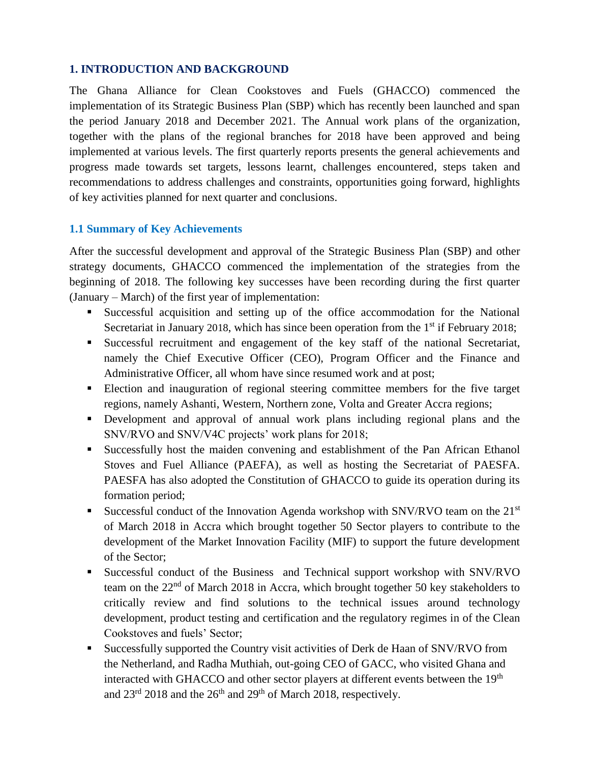# <span id="page-3-0"></span>**1. INTRODUCTION AND BACKGROUND**

The Ghana Alliance for Clean Cookstoves and Fuels (GHACCO) commenced the implementation of its Strategic Business Plan (SBP) which has recently been launched and span the period January 2018 and December 2021. The Annual work plans of the organization, together with the plans of the regional branches for 2018 have been approved and being implemented at various levels. The first quarterly reports presents the general achievements and progress made towards set targets, lessons learnt, challenges encountered, steps taken and recommendations to address challenges and constraints, opportunities going forward, highlights of key activities planned for next quarter and conclusions.

#### <span id="page-3-1"></span>**1.1 Summary of Key Achievements**

After the successful development and approval of the Strategic Business Plan (SBP) and other strategy documents, GHACCO commenced the implementation of the strategies from the beginning of 2018. The following key successes have been recording during the first quarter (January – March) of the first year of implementation:

- Successful acquisition and setting up of the office accommodation for the National Secretariat in January 2018, which has since been operation from the  $1<sup>st</sup>$  if February 2018;
- Successful recruitment and engagement of the key staff of the national Secretariat, namely the Chief Executive Officer (CEO), Program Officer and the Finance and Administrative Officer, all whom have since resumed work and at post;
- Election and inauguration of regional steering committee members for the five target regions, namely Ashanti, Western, Northern zone, Volta and Greater Accra regions;
- Development and approval of annual work plans including regional plans and the SNV/RVO and SNV/V4C projects' work plans for 2018;
- Successfully host the maiden convening and establishment of the Pan African Ethanol Stoves and Fuel Alliance (PAEFA), as well as hosting the Secretariat of PAESFA. PAESFA has also adopted the Constitution of GHACCO to guide its operation during its formation period;
- **Exercessful conduct of the Innovation Agenda workshop with SNV/RVO team on the 21st** of March 2018 in Accra which brought together 50 Sector players to contribute to the development of the Market Innovation Facility (MIF) to support the future development of the Sector;
- **EXECUTE:** Successful conduct of the Business and Technical support workshop with SNV/RVO team on the 22<sup>nd</sup> of March 2018 in Accra, which brought together 50 key stakeholders to critically review and find solutions to the technical issues around technology development, product testing and certification and the regulatory regimes in of the Clean Cookstoves and fuels' Sector;
- Successfully supported the Country visit activities of Derk de Haan of SNV/RVO from the Netherland, and Radha Muthiah, out-going CEO of GACC, who visited Ghana and interacted with GHACCO and other sector players at different events between the 19<sup>th</sup> and  $23^{\text{rd}}$  2018 and the  $26^{\text{th}}$  and  $29^{\text{th}}$  of March 2018, respectively.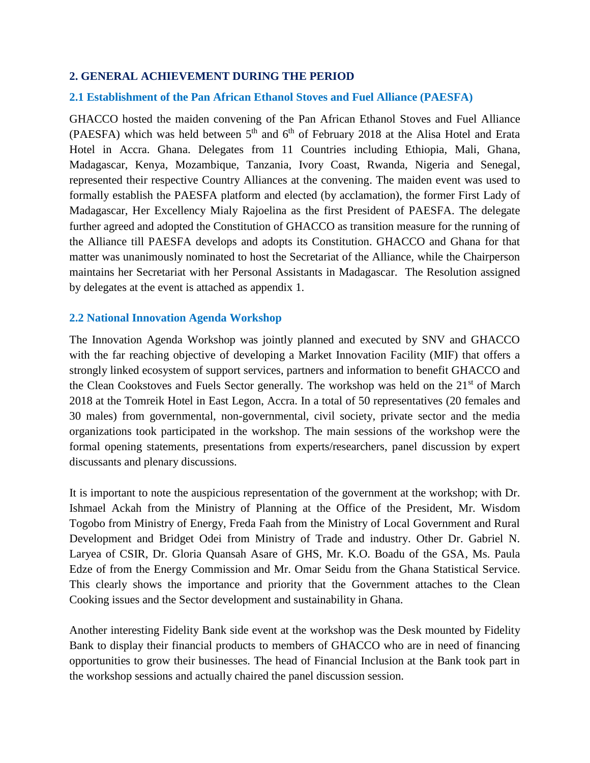#### <span id="page-4-0"></span>**2. GENERAL ACHIEVEMENT DURING THE PERIOD**

#### <span id="page-4-1"></span>**2.1 Establishment of the Pan African Ethanol Stoves and Fuel Alliance (PAESFA)**

GHACCO hosted the maiden convening of the Pan African Ethanol Stoves and Fuel Alliance (PAESFA) which was held between  $5<sup>th</sup>$  and  $6<sup>th</sup>$  of February 2018 at the Alisa Hotel and Erata Hotel in Accra. Ghana. Delegates from 11 Countries including Ethiopia, Mali, Ghana, Madagascar, Kenya, Mozambique, Tanzania, Ivory Coast, Rwanda, Nigeria and Senegal, represented their respective Country Alliances at the convening. The maiden event was used to formally establish the PAESFA platform and elected (by acclamation), the former First Lady of Madagascar, Her Excellency Mialy Rajoelina as the first President of PAESFA. The delegate further agreed and adopted the Constitution of GHACCO as transition measure for the running of the Alliance till PAESFA develops and adopts its Constitution. GHACCO and Ghana for that matter was unanimously nominated to host the Secretariat of the Alliance, while the Chairperson maintains her Secretariat with her Personal Assistants in Madagascar. The Resolution assigned by delegates at the event is attached as appendix 1.

#### <span id="page-4-2"></span>**2.2 National Innovation Agenda Workshop**

The Innovation Agenda Workshop was jointly planned and executed by SNV and GHACCO with the far reaching objective of developing a Market Innovation Facility (MIF) that offers a strongly linked ecosystem of support services, partners and information to benefit GHACCO and the Clean Cookstoves and Fuels Sector generally. The workshop was held on the 21<sup>st</sup> of March 2018 at the Tomreik Hotel in East Legon, Accra. In a total of 50 representatives (20 females and 30 males) from governmental, non-governmental, civil society, private sector and the media organizations took participated in the workshop. The main sessions of the workshop were the formal opening statements, presentations from experts/researchers, panel discussion by expert discussants and plenary discussions.

It is important to note the auspicious representation of the government at the workshop; with Dr. Ishmael Ackah from the Ministry of Planning at the Office of the President, Mr. Wisdom Togobo from Ministry of Energy, Freda Faah from the Ministry of Local Government and Rural Development and Bridget Odei from Ministry of Trade and industry. Other Dr. Gabriel N. Laryea of CSIR, Dr. Gloria Quansah Asare of GHS, Mr. K.O. Boadu of the GSA, Ms. Paula Edze of from the Energy Commission and Mr. Omar Seidu from the Ghana Statistical Service. This clearly shows the importance and priority that the Government attaches to the Clean Cooking issues and the Sector development and sustainability in Ghana.

Another interesting Fidelity Bank side event at the workshop was the Desk mounted by Fidelity Bank to display their financial products to members of GHACCO who are in need of financing opportunities to grow their businesses. The head of Financial Inclusion at the Bank took part in the workshop sessions and actually chaired the panel discussion session.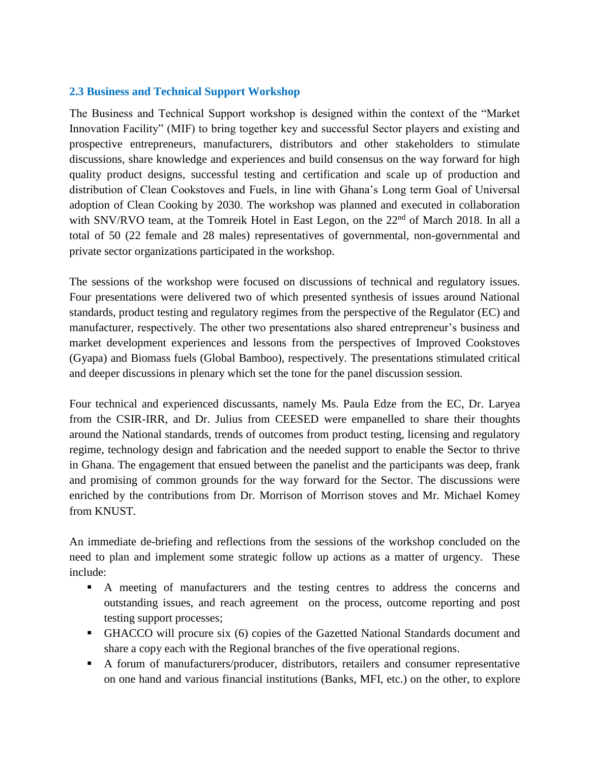#### <span id="page-5-0"></span>**2.3 Business and Technical Support Workshop**

The Business and Technical Support workshop is designed within the context of the "Market Innovation Facility" (MIF) to bring together key and successful Sector players and existing and prospective entrepreneurs, manufacturers, distributors and other stakeholders to stimulate discussions, share knowledge and experiences and build consensus on the way forward for high quality product designs, successful testing and certification and scale up of production and distribution of Clean Cookstoves and Fuels, in line with Ghana's Long term Goal of Universal adoption of Clean Cooking by 2030. The workshop was planned and executed in collaboration with SNV/RVO team, at the Tomreik Hotel in East Legon, on the 22<sup>nd</sup> of March 2018. In all a total of 50 (22 female and 28 males) representatives of governmental, non-governmental and private sector organizations participated in the workshop.

The sessions of the workshop were focused on discussions of technical and regulatory issues. Four presentations were delivered two of which presented synthesis of issues around National standards, product testing and regulatory regimes from the perspective of the Regulator (EC) and manufacturer, respectively. The other two presentations also shared entrepreneur's business and market development experiences and lessons from the perspectives of Improved Cookstoves (Gyapa) and Biomass fuels (Global Bamboo), respectively. The presentations stimulated critical and deeper discussions in plenary which set the tone for the panel discussion session.

Four technical and experienced discussants, namely Ms. Paula Edze from the EC, Dr. Laryea from the CSIR-IRR, and Dr. Julius from CEESED were empanelled to share their thoughts around the National standards, trends of outcomes from product testing, licensing and regulatory regime, technology design and fabrication and the needed support to enable the Sector to thrive in Ghana. The engagement that ensued between the panelist and the participants was deep, frank and promising of common grounds for the way forward for the Sector. The discussions were enriched by the contributions from Dr. Morrison of Morrison stoves and Mr. Michael Komey from KNUST.

An immediate de-briefing and reflections from the sessions of the workshop concluded on the need to plan and implement some strategic follow up actions as a matter of urgency. These include:

- A meeting of manufacturers and the testing centres to address the concerns and outstanding issues, and reach agreement on the process, outcome reporting and post testing support processes;
- GHACCO will procure six (6) copies of the Gazetted National Standards document and share a copy each with the Regional branches of the five operational regions.
- A forum of manufacturers/producer, distributors, retailers and consumer representative on one hand and various financial institutions (Banks, MFI, etc.) on the other, to explore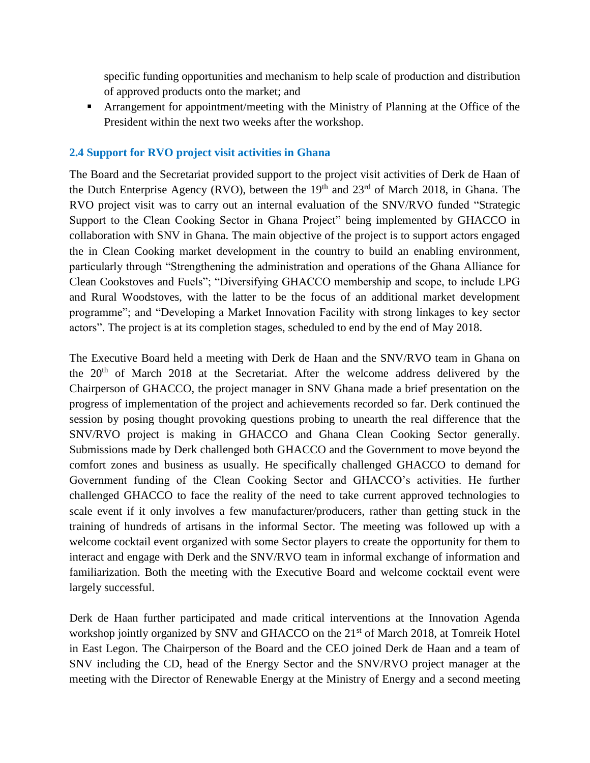specific funding opportunities and mechanism to help scale of production and distribution of approved products onto the market; and

**Examplement for appointment/meeting with the Ministry of Planning at the Office of the** President within the next two weeks after the workshop.

#### <span id="page-6-0"></span>**2.4 Support for RVO project visit activities in Ghana**

The Board and the Secretariat provided support to the project visit activities of Derk de Haan of the Dutch Enterprise Agency (RVO), between the  $19<sup>th</sup>$  and  $23<sup>rd</sup>$  of March 2018, in Ghana. The RVO project visit was to carry out an internal evaluation of the SNV/RVO funded "Strategic Support to the Clean Cooking Sector in Ghana Project" being implemented by GHACCO in collaboration with SNV in Ghana. The main objective of the project is to support actors engaged the in Clean Cooking market development in the country to build an enabling environment, particularly through "Strengthening the administration and operations of the Ghana Alliance for Clean Cookstoves and Fuels"; "Diversifying GHACCO membership and scope, to include LPG and Rural Woodstoves, with the latter to be the focus of an additional market development programme"; and "Developing a Market Innovation Facility with strong linkages to key sector actors". The project is at its completion stages, scheduled to end by the end of May 2018.

The Executive Board held a meeting with Derk de Haan and the SNV/RVO team in Ghana on the 20th of March 2018 at the Secretariat. After the welcome address delivered by the Chairperson of GHACCO, the project manager in SNV Ghana made a brief presentation on the progress of implementation of the project and achievements recorded so far. Derk continued the session by posing thought provoking questions probing to unearth the real difference that the SNV/RVO project is making in GHACCO and Ghana Clean Cooking Sector generally. Submissions made by Derk challenged both GHACCO and the Government to move beyond the comfort zones and business as usually. He specifically challenged GHACCO to demand for Government funding of the Clean Cooking Sector and GHACCO's activities. He further challenged GHACCO to face the reality of the need to take current approved technologies to scale event if it only involves a few manufacturer/producers, rather than getting stuck in the training of hundreds of artisans in the informal Sector. The meeting was followed up with a welcome cocktail event organized with some Sector players to create the opportunity for them to interact and engage with Derk and the SNV/RVO team in informal exchange of information and familiarization. Both the meeting with the Executive Board and welcome cocktail event were largely successful.

Derk de Haan further participated and made critical interventions at the Innovation Agenda workshop jointly organized by SNV and GHACCO on the 21<sup>st</sup> of March 2018, at Tomreik Hotel in East Legon. The Chairperson of the Board and the CEO joined Derk de Haan and a team of SNV including the CD, head of the Energy Sector and the SNV/RVO project manager at the meeting with the Director of Renewable Energy at the Ministry of Energy and a second meeting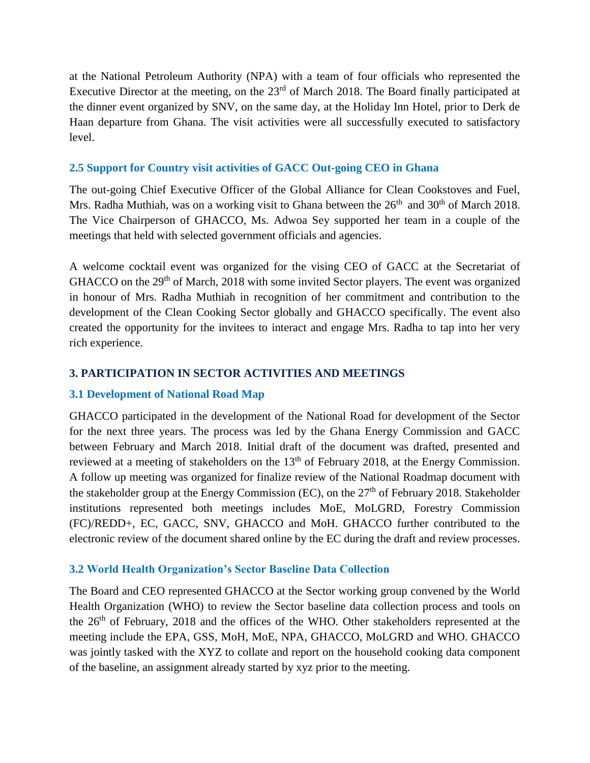at the National Petroleum Authority (NPA) with a team of four officials who represented the Executive Director at the meeting, on the 23<sup>rd</sup> of March 2018. The Board finally participated at the dinner event organized by SNV, on the same day, at the Holiday Inn Hotel, prior to Derk de Haan departure from Ghana. The visit activities were all successfully executed to satisfactory level.

# <span id="page-7-0"></span>**2.5 Support for Country visit activities of GACC Out-going CEO in Ghana**

The out-going Chief Executive Officer of the Global Alliance for Clean Cookstoves and Fuel, Mrs. Radha Muthiah, was on a working visit to Ghana between the  $26<sup>th</sup>$  and  $30<sup>th</sup>$  of March 2018. The Vice Chairperson of GHACCO, Ms. Adwoa Sey supported her team in a couple of the meetings that held with selected government officials and agencies.

A welcome cocktail event was organized for the vising CEO of GACC at the Secretariat of GHACCO on the 29<sup>th</sup> of March, 2018 with some invited Sector players. The event was organized in honour of Mrs. Radha Muthiah in recognition of her commitment and contribution to the development of the Clean Cooking Sector globally and GHACCO specifically. The event also created the opportunity for the invitees to interact and engage Mrs. Radha to tap into her very rich experience.

# <span id="page-7-1"></span>**3. PARTICIPATION IN SECTOR ACTIVITIES AND MEETINGS**

# <span id="page-7-2"></span>**3.1 Development of National Road Map**

GHACCO participated in the development of the National Road for development of the Sector for the next three years. The process was led by the Ghana Energy Commission and GACC between February and March 2018. Initial draft of the document was drafted, presented and reviewed at a meeting of stakeholders on the 13<sup>th</sup> of February 2018, at the Energy Commission. A follow up meeting was organized for finalize review of the National Roadmap document with the stakeholder group at the Energy Commission (EC), on the  $27<sup>th</sup>$  of February 2018. Stakeholder institutions represented both meetings includes MoE, MoLGRD, Forestry Commission (FC)/REDD+, EC, GACC, SNV, GHACCO and MoH. GHACCO further contributed to the electronic review of the document shared online by the EC during the draft and review processes.

# <span id="page-7-3"></span>**3.2 World Health Organization's Sector Baseline Data Collection**

The Board and CEO represented GHACCO at the Sector working group convened by the World Health Organization (WHO) to review the Sector baseline data collection process and tools on the 26th of February, 2018 and the offices of the WHO. Other stakeholders represented at the meeting include the EPA, GSS, MoH, MoE, NPA, GHACCO, MoLGRD and WHO. GHACCO was jointly tasked with the XYZ to collate and report on the household cooking data component of the baseline, an assignment already started by xyz prior to the meeting.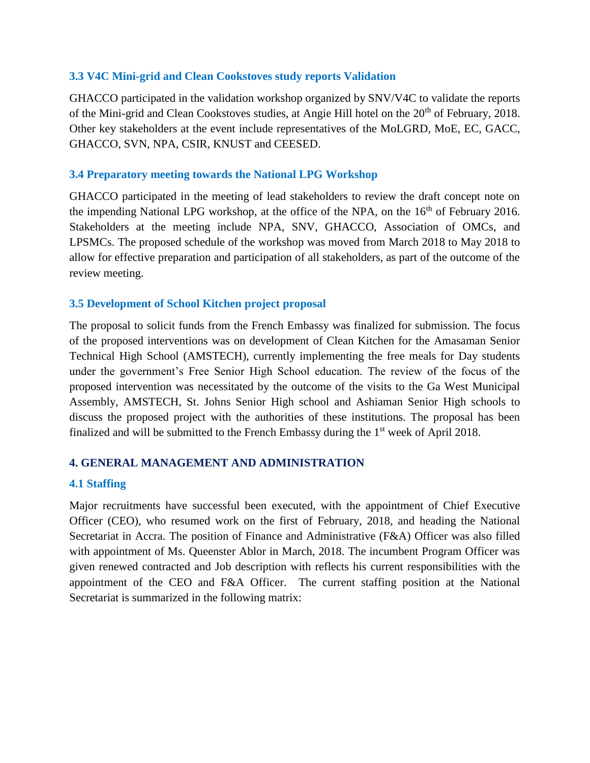#### <span id="page-8-0"></span>**3.3 V4C Mini-grid and Clean Cookstoves study reports Validation**

GHACCO participated in the validation workshop organized by SNV/V4C to validate the reports of the Mini-grid and Clean Cookstoves studies, at Angie Hill hotel on the 20<sup>th</sup> of February, 2018. Other key stakeholders at the event include representatives of the MoLGRD, MoE, EC, GACC, GHACCO, SVN, NPA, CSIR, KNUST and CEESED.

#### <span id="page-8-1"></span>**3.4 Preparatory meeting towards the National LPG Workshop**

GHACCO participated in the meeting of lead stakeholders to review the draft concept note on the impending National LPG workshop, at the office of the NPA, on the  $16<sup>th</sup>$  of February 2016. Stakeholders at the meeting include NPA, SNV, GHACCO, Association of OMCs, and LPSMCs. The proposed schedule of the workshop was moved from March 2018 to May 2018 to allow for effective preparation and participation of all stakeholders, as part of the outcome of the review meeting.

#### <span id="page-8-2"></span>**3.5 Development of School Kitchen project proposal**

The proposal to solicit funds from the French Embassy was finalized for submission. The focus of the proposed interventions was on development of Clean Kitchen for the Amasaman Senior Technical High School (AMSTECH), currently implementing the free meals for Day students under the government's Free Senior High School education. The review of the focus of the proposed intervention was necessitated by the outcome of the visits to the Ga West Municipal Assembly, AMSTECH, St. Johns Senior High school and Ashiaman Senior High schools to discuss the proposed project with the authorities of these institutions. The proposal has been finalized and will be submitted to the French Embassy during the  $1<sup>st</sup>$  week of April 2018.

# <span id="page-8-3"></span>**4. GENERAL MANAGEMENT AND ADMINISTRATION**

# <span id="page-8-4"></span>**4.1 Staffing**

Major recruitments have successful been executed, with the appointment of Chief Executive Officer (CEO), who resumed work on the first of February, 2018, and heading the National Secretariat in Accra. The position of Finance and Administrative (F&A) Officer was also filled with appointment of Ms. Queenster Ablor in March, 2018. The incumbent Program Officer was given renewed contracted and Job description with reflects his current responsibilities with the appointment of the CEO and F&A Officer. The current staffing position at the National Secretariat is summarized in the following matrix: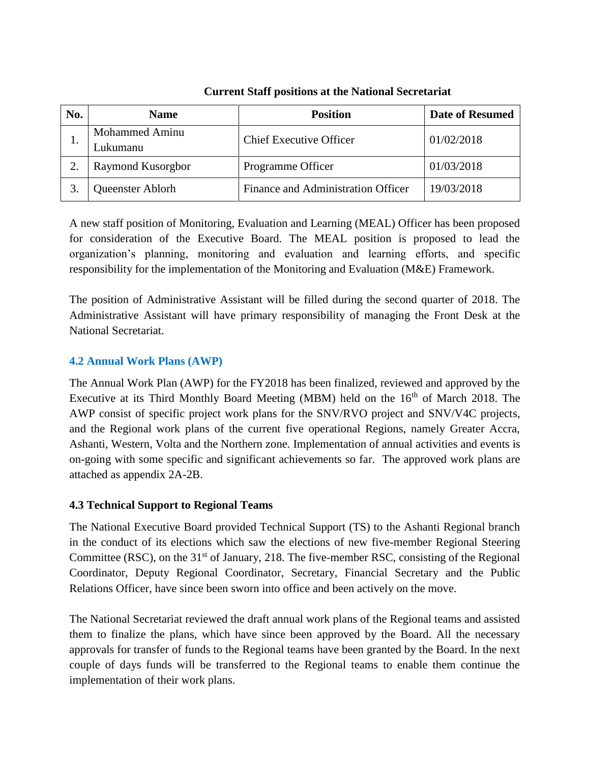| No. | <b>Name</b>                | <b>Position</b>                    | <b>Date of Resumed</b> |
|-----|----------------------------|------------------------------------|------------------------|
| .,  | Mohammed Aminu<br>⊥ukumanu | <b>Chief Executive Officer</b>     | 01/02/2018             |
|     | Raymond Kusorgbor          | Programme Officer                  | 01/03/2018             |
|     | Queenster Ablorh           | Finance and Administration Officer | 19/03/2018             |

# **Current Staff positions at the National Secretariat**

A new staff position of Monitoring, Evaluation and Learning (MEAL) Officer has been proposed for consideration of the Executive Board. The MEAL position is proposed to lead the organization's planning, monitoring and evaluation and learning efforts, and specific responsibility for the implementation of the Monitoring and Evaluation (M&E) Framework.

The position of Administrative Assistant will be filled during the second quarter of 2018. The Administrative Assistant will have primary responsibility of managing the Front Desk at the National Secretariat.

# <span id="page-9-0"></span>**4.2 Annual Work Plans (AWP)**

The Annual Work Plan (AWP) for the FY2018 has been finalized, reviewed and approved by the Executive at its Third Monthly Board Meeting (MBM) held on the  $16<sup>th</sup>$  of March 2018. The AWP consist of specific project work plans for the SNV/RVO project and SNV/V4C projects, and the Regional work plans of the current five operational Regions, namely Greater Accra, Ashanti, Western, Volta and the Northern zone. Implementation of annual activities and events is on-going with some specific and significant achievements so far. The approved work plans are attached as appendix 2A-2B.

# <span id="page-9-1"></span>**4.3 Technical Support to Regional Teams**

The National Executive Board provided Technical Support (TS) to the Ashanti Regional branch in the conduct of its elections which saw the elections of new five-member Regional Steering Committee (RSC), on the  $31<sup>st</sup>$  of January, 218. The five-member RSC, consisting of the Regional Coordinator, Deputy Regional Coordinator, Secretary, Financial Secretary and the Public Relations Officer, have since been sworn into office and been actively on the move.

The National Secretariat reviewed the draft annual work plans of the Regional teams and assisted them to finalize the plans, which have since been approved by the Board. All the necessary approvals for transfer of funds to the Regional teams have been granted by the Board. In the next couple of days funds will be transferred to the Regional teams to enable them continue the implementation of their work plans.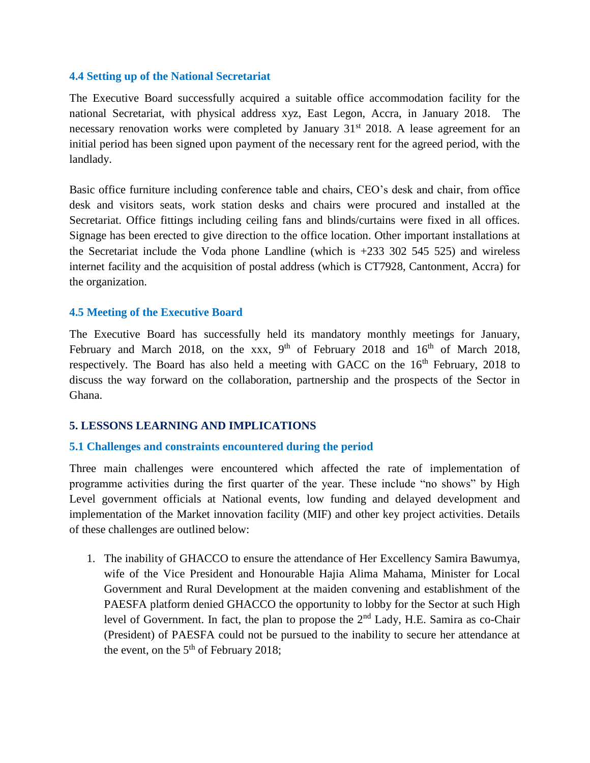#### <span id="page-10-0"></span>**4.4 Setting up of the National Secretariat**

The Executive Board successfully acquired a suitable office accommodation facility for the national Secretariat, with physical address xyz, East Legon, Accra, in January 2018. The necessary renovation works were completed by January  $31<sup>st</sup>$  2018. A lease agreement for an initial period has been signed upon payment of the necessary rent for the agreed period, with the landlady.

Basic office furniture including conference table and chairs, CEO's desk and chair, from office desk and visitors seats, work station desks and chairs were procured and installed at the Secretariat. Office fittings including ceiling fans and blinds/curtains were fixed in all offices. Signage has been erected to give direction to the office location. Other important installations at the Secretariat include the Voda phone Landline (which is  $+233$  302 545 525) and wireless internet facility and the acquisition of postal address (which is CT7928, Cantonment, Accra) for the organization.

#### <span id="page-10-1"></span>**4.5 Meeting of the Executive Board**

The Executive Board has successfully held its mandatory monthly meetings for January, February and March 2018, on the xxx,  $9<sup>th</sup>$  of February 2018 and  $16<sup>th</sup>$  of March 2018, respectively. The Board has also held a meeting with GACC on the  $16<sup>th</sup>$  February, 2018 to discuss the way forward on the collaboration, partnership and the prospects of the Sector in Ghana.

# <span id="page-10-2"></span>**5. LESSONS LEARNING AND IMPLICATIONS**

#### <span id="page-10-3"></span>**5.1 Challenges and constraints encountered during the period**

Three main challenges were encountered which affected the rate of implementation of programme activities during the first quarter of the year. These include "no shows" by High Level government officials at National events, low funding and delayed development and implementation of the Market innovation facility (MIF) and other key project activities. Details of these challenges are outlined below:

1. The inability of GHACCO to ensure the attendance of Her Excellency Samira Bawumya, wife of the Vice President and Honourable Hajia Alima Mahama, Minister for Local Government and Rural Development at the maiden convening and establishment of the PAESFA platform denied GHACCO the opportunity to lobby for the Sector at such High level of Government. In fact, the plan to propose the 2<sup>nd</sup> Lady, H.E. Samira as co-Chair (President) of PAESFA could not be pursued to the inability to secure her attendance at the event, on the  $5<sup>th</sup>$  of February 2018;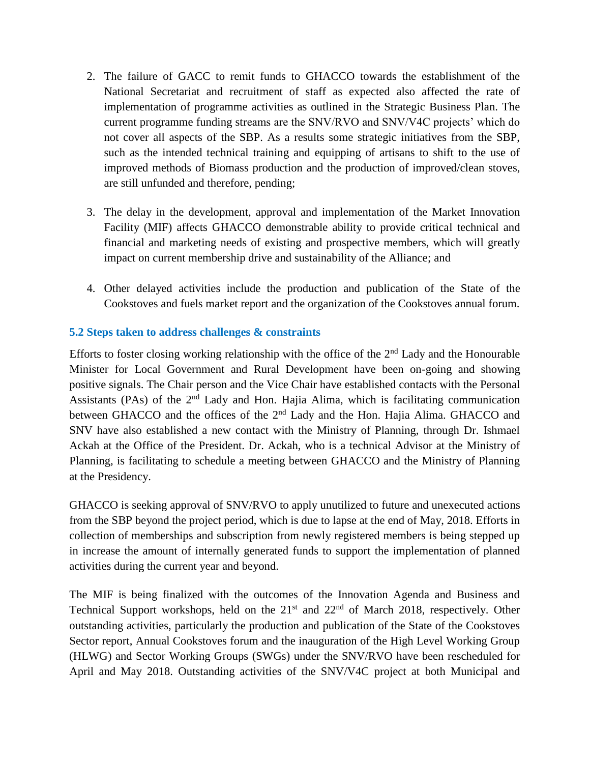- 2. The failure of GACC to remit funds to GHACCO towards the establishment of the National Secretariat and recruitment of staff as expected also affected the rate of implementation of programme activities as outlined in the Strategic Business Plan. The current programme funding streams are the SNV/RVO and SNV/V4C projects' which do not cover all aspects of the SBP. As a results some strategic initiatives from the SBP, such as the intended technical training and equipping of artisans to shift to the use of improved methods of Biomass production and the production of improved/clean stoves, are still unfunded and therefore, pending;
- 3. The delay in the development, approval and implementation of the Market Innovation Facility (MIF) affects GHACCO demonstrable ability to provide critical technical and financial and marketing needs of existing and prospective members, which will greatly impact on current membership drive and sustainability of the Alliance; and
- 4. Other delayed activities include the production and publication of the State of the Cookstoves and fuels market report and the organization of the Cookstoves annual forum.

# <span id="page-11-0"></span>**5.2 Steps taken to address challenges & constraints**

Efforts to foster closing working relationship with the office of the  $2<sup>nd</sup>$  Lady and the Honourable Minister for Local Government and Rural Development have been on-going and showing positive signals. The Chair person and the Vice Chair have established contacts with the Personal Assistants (PAs) of the  $2<sup>nd</sup>$  Lady and Hon. Hajia Alima, which is facilitating communication between GHACCO and the offices of the 2<sup>nd</sup> Lady and the Hon. Hajia Alima. GHACCO and SNV have also established a new contact with the Ministry of Planning, through Dr. Ishmael Ackah at the Office of the President. Dr. Ackah, who is a technical Advisor at the Ministry of Planning, is facilitating to schedule a meeting between GHACCO and the Ministry of Planning at the Presidency.

GHACCO is seeking approval of SNV/RVO to apply unutilized to future and unexecuted actions from the SBP beyond the project period, which is due to lapse at the end of May, 2018. Efforts in collection of memberships and subscription from newly registered members is being stepped up in increase the amount of internally generated funds to support the implementation of planned activities during the current year and beyond.

The MIF is being finalized with the outcomes of the Innovation Agenda and Business and Technical Support workshops, held on the  $21<sup>st</sup>$  and  $22<sup>nd</sup>$  of March 2018, respectively. Other outstanding activities, particularly the production and publication of the State of the Cookstoves Sector report, Annual Cookstoves forum and the inauguration of the High Level Working Group (HLWG) and Sector Working Groups (SWGs) under the SNV/RVO have been rescheduled for April and May 2018. Outstanding activities of the SNV/V4C project at both Municipal and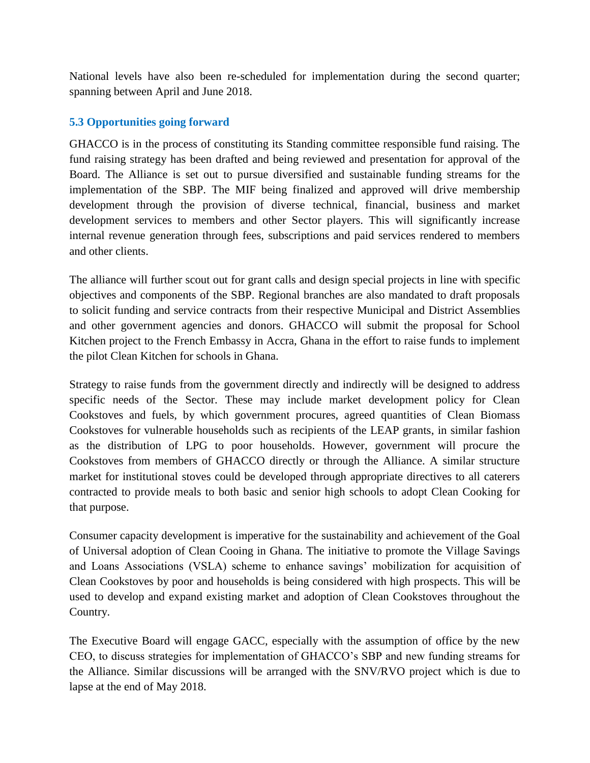National levels have also been re-scheduled for implementation during the second quarter; spanning between April and June 2018.

# <span id="page-12-0"></span>**5.3 Opportunities going forward**

GHACCO is in the process of constituting its Standing committee responsible fund raising. The fund raising strategy has been drafted and being reviewed and presentation for approval of the Board. The Alliance is set out to pursue diversified and sustainable funding streams for the implementation of the SBP. The MIF being finalized and approved will drive membership development through the provision of diverse technical, financial, business and market development services to members and other Sector players. This will significantly increase internal revenue generation through fees, subscriptions and paid services rendered to members and other clients.

The alliance will further scout out for grant calls and design special projects in line with specific objectives and components of the SBP. Regional branches are also mandated to draft proposals to solicit funding and service contracts from their respective Municipal and District Assemblies and other government agencies and donors. GHACCO will submit the proposal for School Kitchen project to the French Embassy in Accra, Ghana in the effort to raise funds to implement the pilot Clean Kitchen for schools in Ghana.

Strategy to raise funds from the government directly and indirectly will be designed to address specific needs of the Sector. These may include market development policy for Clean Cookstoves and fuels, by which government procures, agreed quantities of Clean Biomass Cookstoves for vulnerable households such as recipients of the LEAP grants, in similar fashion as the distribution of LPG to poor households. However, government will procure the Cookstoves from members of GHACCO directly or through the Alliance. A similar structure market for institutional stoves could be developed through appropriate directives to all caterers contracted to provide meals to both basic and senior high schools to adopt Clean Cooking for that purpose.

Consumer capacity development is imperative for the sustainability and achievement of the Goal of Universal adoption of Clean Cooing in Ghana. The initiative to promote the Village Savings and Loans Associations (VSLA) scheme to enhance savings' mobilization for acquisition of Clean Cookstoves by poor and households is being considered with high prospects. This will be used to develop and expand existing market and adoption of Clean Cookstoves throughout the Country.

The Executive Board will engage GACC, especially with the assumption of office by the new CEO, to discuss strategies for implementation of GHACCO's SBP and new funding streams for the Alliance. Similar discussions will be arranged with the SNV/RVO project which is due to lapse at the end of May 2018.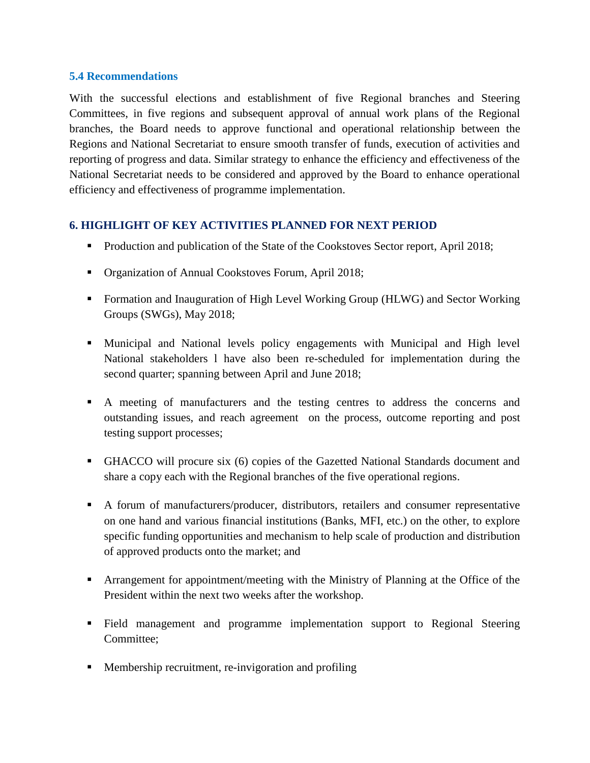#### <span id="page-13-0"></span>**5.4 Recommendations**

With the successful elections and establishment of five Regional branches and Steering Committees, in five regions and subsequent approval of annual work plans of the Regional branches, the Board needs to approve functional and operational relationship between the Regions and National Secretariat to ensure smooth transfer of funds, execution of activities and reporting of progress and data. Similar strategy to enhance the efficiency and effectiveness of the National Secretariat needs to be considered and approved by the Board to enhance operational efficiency and effectiveness of programme implementation.

# <span id="page-13-1"></span>**6. HIGHLIGHT OF KEY ACTIVITIES PLANNED FOR NEXT PERIOD**

- Production and publication of the State of the Cookstoves Sector report, April 2018;
- Organization of Annual Cookstoves Forum, April 2018;
- Formation and Inauguration of High Level Working Group (HLWG) and Sector Working Groups (SWGs), May 2018;
- Municipal and National levels policy engagements with Municipal and High level National stakeholders l have also been re-scheduled for implementation during the second quarter; spanning between April and June 2018;
- A meeting of manufacturers and the testing centres to address the concerns and outstanding issues, and reach agreement on the process, outcome reporting and post testing support processes;
- GHACCO will procure six (6) copies of the Gazetted National Standards document and share a copy each with the Regional branches of the five operational regions.
- A forum of manufacturers/producer, distributors, retailers and consumer representative on one hand and various financial institutions (Banks, MFI, etc.) on the other, to explore specific funding opportunities and mechanism to help scale of production and distribution of approved products onto the market; and
- **EXECUTE:** Arrangement for appointment/meeting with the Ministry of Planning at the Office of the President within the next two weeks after the workshop.
- Field management and programme implementation support to Regional Steering Committee;
- Membership recruitment, re-invigoration and profiling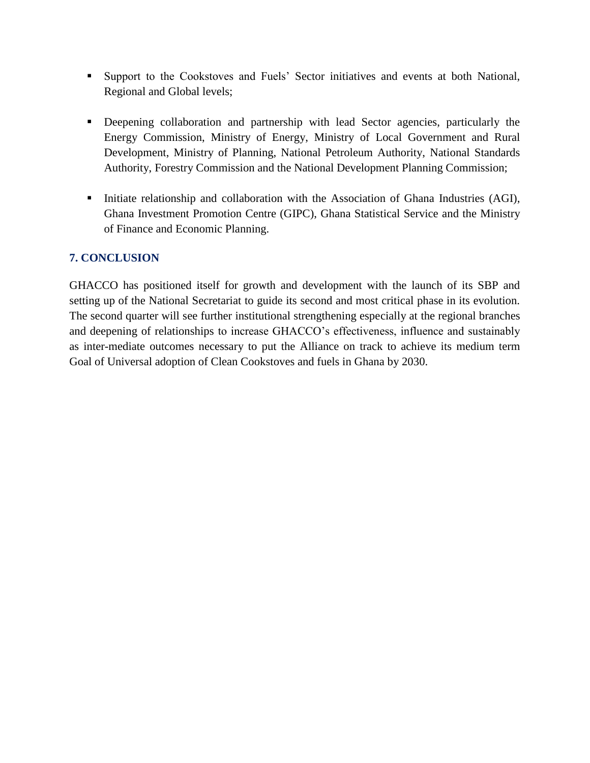- Support to the Cookstoves and Fuels' Sector initiatives and events at both National, Regional and Global levels;
- **•** Deepening collaboration and partnership with lead Sector agencies, particularly the Energy Commission, Ministry of Energy, Ministry of Local Government and Rural Development, Ministry of Planning, National Petroleum Authority, National Standards Authority, Forestry Commission and the National Development Planning Commission;
- **•** Initiate relationship and collaboration with the Association of Ghana Industries (AGI), Ghana Investment Promotion Centre (GIPC), Ghana Statistical Service and the Ministry of Finance and Economic Planning.

# <span id="page-14-0"></span>**7. CONCLUSION**

GHACCO has positioned itself for growth and development with the launch of its SBP and setting up of the National Secretariat to guide its second and most critical phase in its evolution. The second quarter will see further institutional strengthening especially at the regional branches and deepening of relationships to increase GHACCO's effectiveness, influence and sustainably as inter-mediate outcomes necessary to put the Alliance on track to achieve its medium term Goal of Universal adoption of Clean Cookstoves and fuels in Ghana by 2030.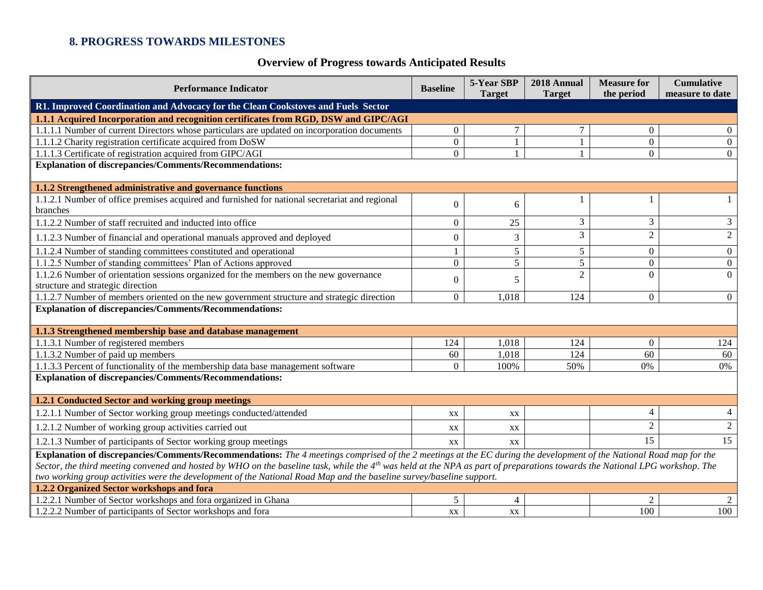# **8. PROGRESS TOWARDS MILESTONES**

# **Overview of Progress towards Anticipated Results**

<span id="page-15-0"></span>

| <b>Performance Indicator</b>                                                                                                                                                            | <b>Baseline</b>                                                                                                      | 5-Year SBP     | 2018 Annual     | <b>Measure for</b> | <b>Cumulative</b> |  |  |
|-----------------------------------------------------------------------------------------------------------------------------------------------------------------------------------------|----------------------------------------------------------------------------------------------------------------------|----------------|-----------------|--------------------|-------------------|--|--|
| R1. Improved Coordination and Advocacy for the Clean Cookstoves and Fuels Sector                                                                                                        |                                                                                                                      | <b>Target</b>  | <b>Target</b>   | the period         | measure to date   |  |  |
| 1.1.1 Acquired Incorporation and recognition certificates from RGD, DSW and GIPC/AGI                                                                                                    |                                                                                                                      |                |                 |                    |                   |  |  |
| 1.1.1.1 Number of current Directors whose particulars are updated on incorporation documents                                                                                            | $\overline{0}$                                                                                                       | 7              | $\tau$          | $\overline{0}$     | $\overline{0}$    |  |  |
| 1.1.1.2 Charity registration certificate acquired from DoSW                                                                                                                             | $\boldsymbol{0}$                                                                                                     | $\mathbf{1}$   | $\mathbf{1}$    | $\overline{0}$     | $\overline{0}$    |  |  |
| 1.1.1.3 Certificate of registration acquired from GIPC/AGI                                                                                                                              | $\overline{0}$                                                                                                       |                | $\mathbf{1}$    | $\overline{0}$     | $\overline{0}$    |  |  |
| <b>Explanation of discrepancies/Comments/Recommendations:</b>                                                                                                                           |                                                                                                                      |                |                 |                    |                   |  |  |
|                                                                                                                                                                                         |                                                                                                                      |                |                 |                    |                   |  |  |
| 1.1.2 Strengthened administrative and governance functions                                                                                                                              |                                                                                                                      |                |                 |                    |                   |  |  |
| 1.1.2.1 Number of office premises acquired and furnished for national secretariat and regional                                                                                          | $\Omega$                                                                                                             | 6              |                 |                    |                   |  |  |
| branches                                                                                                                                                                                |                                                                                                                      |                |                 |                    |                   |  |  |
| 1.1.2.2 Number of staff recruited and inducted into office                                                                                                                              | $\overline{0}$                                                                                                       | 25             | 3               | 3                  | 3                 |  |  |
| 1.1.2.3 Number of financial and operational manuals approved and deployed                                                                                                               | 0                                                                                                                    | 3              | $\overline{3}$  | $\overline{2}$     | $\overline{2}$    |  |  |
| 1.1.2.4 Number of standing committees constituted and operational                                                                                                                       |                                                                                                                      | 5              | $5\overline{)}$ | $\overline{0}$     | $\overline{0}$    |  |  |
| 1.1.2.5 Number of standing committees' Plan of Actions approved                                                                                                                         | $\overline{0}$                                                                                                       | 5              | 5               | $\boldsymbol{0}$   | $\overline{0}$    |  |  |
| 1.1.2.6 Number of orientation sessions organized for the members on the new governance                                                                                                  | $\Omega$                                                                                                             | 5              | $\overline{2}$  | $\Omega$           | $\Omega$          |  |  |
| structure and strategic direction                                                                                                                                                       |                                                                                                                      |                |                 |                    |                   |  |  |
| 1.1.2.7 Number of members oriented on the new government structure and strategic direction                                                                                              | $\overline{0}$                                                                                                       | 1,018          | 124             | $\overline{0}$     | $\overline{0}$    |  |  |
| <b>Explanation of discrepancies/Comments/Recommendations:</b>                                                                                                                           |                                                                                                                      |                |                 |                    |                   |  |  |
| 1.1.3 Strengthened membership base and database management                                                                                                                              |                                                                                                                      |                |                 |                    |                   |  |  |
| 1.1.3.1 Number of registered members                                                                                                                                                    | 124                                                                                                                  | 1,018          | 124             | $\overline{0}$     | 124               |  |  |
| 1.1.3.2 Number of paid up members                                                                                                                                                       | 60                                                                                                                   | 1,018          | 124             | 60                 | 60                |  |  |
| 1.1.3.3 Percent of functionality of the membership data base management software                                                                                                        | $\Omega$                                                                                                             | 100%           | 50%             | 0%                 | 0%                |  |  |
| <b>Explanation of discrepancies/Comments/Recommendations:</b>                                                                                                                           |                                                                                                                      |                |                 |                    |                   |  |  |
|                                                                                                                                                                                         |                                                                                                                      |                |                 |                    |                   |  |  |
| 1.2.1 Conducted Sector and working group meetings                                                                                                                                       |                                                                                                                      |                |                 |                    |                   |  |  |
| 1.2.1.1 Number of Sector working group meetings conducted/attended                                                                                                                      | XX                                                                                                                   | XX             |                 | $\overline{4}$     | 4                 |  |  |
| 1.2.1.2 Number of working group activities carried out                                                                                                                                  | XX                                                                                                                   | XX             |                 | $\sqrt{2}$         | $\overline{2}$    |  |  |
| 1.2.1.3 Number of participants of Sector working group meetings                                                                                                                         | XX                                                                                                                   | XX             |                 | 15                 | 15                |  |  |
| Explanation of discrepancies/Comments/Recommendations: The 4 meetings comprised of the 2 meetings at the EC during the development of the National Road map for the                     |                                                                                                                      |                |                 |                    |                   |  |  |
| Sector, the third meeting convened and hosted by WHO on the baseline task, while the 4 <sup>th</sup> was held at the NPA as part of preparations towards the National LPG workshop. The |                                                                                                                      |                |                 |                    |                   |  |  |
|                                                                                                                                                                                         | two working group activities were the development of the National Road Map and the baseline survey/baseline support. |                |                 |                    |                   |  |  |
| 1.2.2 Organized Sector workshops and fora                                                                                                                                               |                                                                                                                      |                |                 |                    |                   |  |  |
| .2.2.1 Number of Sector workshops and fora organized in Ghana                                                                                                                           | $\sqrt{5}$                                                                                                           | $\overline{4}$ |                 | $\overline{c}$     |                   |  |  |
| 1.2.2.2 Number of participants of Sector workshops and fora                                                                                                                             | XX                                                                                                                   | XX             |                 | 100                | 100               |  |  |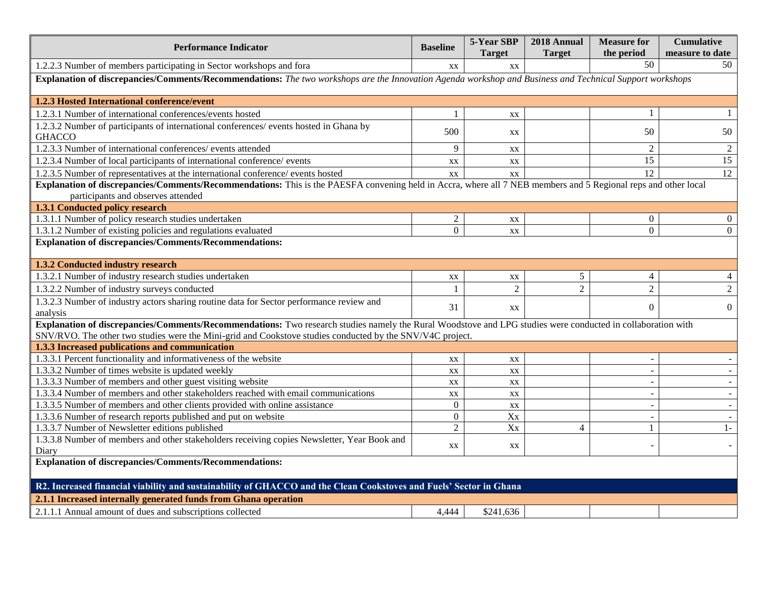| <b>Performance Indicator</b>                                                                                                                                                                         | <b>Baseline</b>  | 5-Year SBP<br><b>Target</b> | 2018 Annual<br><b>Target</b> | <b>Measure for</b><br>the period | <b>Cumulative</b><br>measure to date |  |  |
|------------------------------------------------------------------------------------------------------------------------------------------------------------------------------------------------------|------------------|-----------------------------|------------------------------|----------------------------------|--------------------------------------|--|--|
| 1.2.2.3 Number of members participating in Sector workshops and fora                                                                                                                                 | XX               | $\mathbf{X}\mathbf{X}$      |                              | 50                               | 50                                   |  |  |
| Explanation of discrepancies/Comments/Recommendations: The two workshops are the Innovation Agenda workshop and Business and Technical Support workshops                                             |                  |                             |                              |                                  |                                      |  |  |
| 1.2.3 Hosted International conference/event                                                                                                                                                          |                  |                             |                              |                                  |                                      |  |  |
| 1.2.3.1 Number of international conferences/events hosted                                                                                                                                            |                  | XX                          |                              | -1                               |                                      |  |  |
| 1.2.3.2 Number of participants of international conferences/ events hosted in Ghana by<br><b>GHACCO</b>                                                                                              | 500              | XX                          |                              | 50                               | 50                                   |  |  |
| 1.2.3.3 Number of international conferences/ events attended                                                                                                                                         | 9                | XX                          |                              | 2                                | 2                                    |  |  |
| 1.2.3.4 Number of local participants of international conference/ events                                                                                                                             | XX               | XX                          |                              | 15                               | 15                                   |  |  |
| 1.2.3.5 Number of representatives at the international conference/ events hosted                                                                                                                     | XX               | XX                          |                              | 12                               | 12                                   |  |  |
| Explanation of discrepancies/Comments/Recommendations: This is the PAESFA convening held in Accra, where all 7 NEB members and 5 Regional reps and other local<br>participants and observes attended |                  |                             |                              |                                  |                                      |  |  |
| 1.3.1 Conducted policy research                                                                                                                                                                      |                  |                             |                              |                                  |                                      |  |  |
| 1.3.1.1 Number of policy research studies undertaken                                                                                                                                                 | $\overline{2}$   | XX                          |                              | $\overline{0}$                   | $\Omega$                             |  |  |
| 1.3.1.2 Number of existing policies and regulations evaluated                                                                                                                                        | $\overline{0}$   | XX                          |                              | $\overline{0}$                   | $\Omega$                             |  |  |
| <b>Explanation of discrepancies/Comments/Recommendations:</b>                                                                                                                                        |                  |                             |                              |                                  |                                      |  |  |
|                                                                                                                                                                                                      |                  |                             |                              |                                  |                                      |  |  |
| 1.3.2 Conducted industry research                                                                                                                                                                    |                  |                             |                              |                                  |                                      |  |  |
| 1.3.2.1 Number of industry research studies undertaken                                                                                                                                               | XX               | XX                          | 5                            | 4                                |                                      |  |  |
| 1.3.2.2 Number of industry surveys conducted                                                                                                                                                         |                  | $\overline{2}$              | $\overline{2}$               | $\overline{c}$                   | $\overline{2}$                       |  |  |
| 1.3.2.3 Number of industry actors sharing routine data for Sector performance review and<br>analysis                                                                                                 | 31               | XX                          |                              | $\Omega$                         | $\Omega$                             |  |  |
| Explanation of discrepancies/Comments/Recommendations: Two research studies namely the Rural Woodstove and LPG studies were conducted in collaboration with                                          |                  |                             |                              |                                  |                                      |  |  |
| SNV/RVO. The other two studies were the Mini-grid and Cookstove studies conducted by the SNV/V4C project.                                                                                            |                  |                             |                              |                                  |                                      |  |  |
| 1.3.3 Increased publications and communication                                                                                                                                                       |                  |                             |                              |                                  |                                      |  |  |
| 1.3.3.1 Percent functionality and informativeness of the website                                                                                                                                     | XX               | XX                          |                              |                                  |                                      |  |  |
| 1.3.3.2 Number of times website is updated weekly                                                                                                                                                    | XX               | $\mathbf{X}\mathbf{X}$      |                              |                                  |                                      |  |  |
| 1.3.3.3 Number of members and other guest visiting website                                                                                                                                           | XX               | $\mathbf{X}\mathbf{X}$      |                              |                                  |                                      |  |  |
| 1.3.3.4 Number of members and other stakeholders reached with email communications                                                                                                                   | XX               | $\mathbf{X} \mathbf{X}$     |                              |                                  |                                      |  |  |
| 1.3.3.5 Number of members and other clients provided with online assistance                                                                                                                          | $\boldsymbol{0}$ | XX                          |                              |                                  |                                      |  |  |
| 1.3.3.6 Number of research reports published and put on website                                                                                                                                      | $\overline{0}$   | Xx                          |                              | $\overline{\phantom{a}}$         |                                      |  |  |
| 1.3.3.7 Number of Newsletter editions published                                                                                                                                                      | $\overline{2}$   | Xx                          | $\overline{4}$               | $\mathbf{1}$                     | $1-$                                 |  |  |
| 1.3.3.8 Number of members and other stakeholders receiving copies Newsletter, Year Book and<br>Diary                                                                                                 | XX               | XX                          |                              |                                  |                                      |  |  |
| <b>Explanation of discrepancies/Comments/Recommendations:</b>                                                                                                                                        |                  |                             |                              |                                  |                                      |  |  |
| R2. Increased financial viability and sustainability of GHACCO and the Clean Cookstoves and Fuels' Sector in Ghana                                                                                   |                  |                             |                              |                                  |                                      |  |  |
| 2.1.1 Increased internally generated funds from Ghana operation                                                                                                                                      |                  |                             |                              |                                  |                                      |  |  |
| 2.1.1.1 Annual amount of dues and subscriptions collected                                                                                                                                            | 4,444            | \$241,636                   |                              |                                  |                                      |  |  |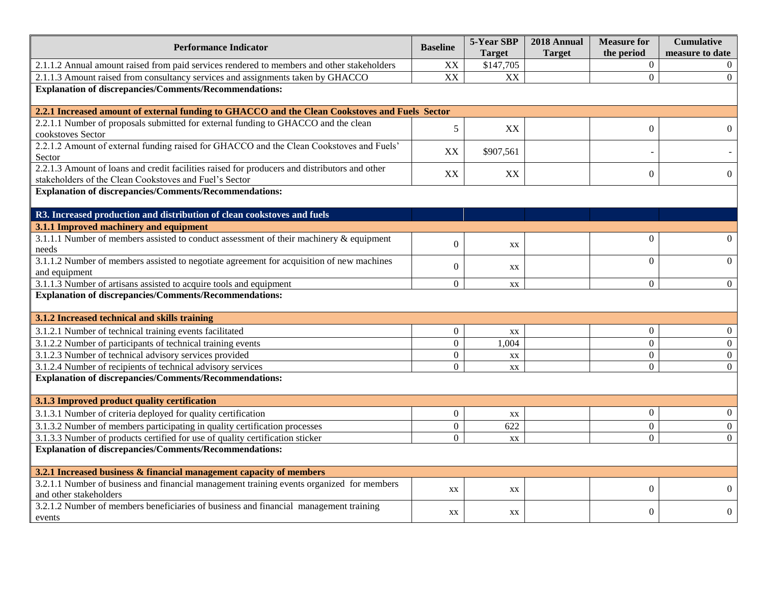| <b>Performance Indicator</b>                                                                                                                            | <b>Baseline</b>  | 5-Year SBP<br><b>Target</b> | 2018 Annual<br><b>Target</b> | <b>Measure for</b><br>the period | <b>Cumulative</b><br>measure to date |
|---------------------------------------------------------------------------------------------------------------------------------------------------------|------------------|-----------------------------|------------------------------|----------------------------------|--------------------------------------|
| 2.1.1.2 Annual amount raised from paid services rendered to members and other stakeholders                                                              | XX               | \$147,705                   |                              | $\boldsymbol{0}$                 |                                      |
| 2.1.1.3 Amount raised from consultancy services and assignments taken by GHACCO                                                                         | XX               | XX                          |                              | $\overline{0}$                   | $\mathbf{0}$                         |
| <b>Explanation of discrepancies/Comments/Recommendations:</b>                                                                                           |                  |                             |                              |                                  |                                      |
| 2.2.1 Increased amount of external funding to GHACCO and the Clean Cookstoves and Fuels Sector                                                          |                  |                             |                              |                                  |                                      |
| 2.2.1.1 Number of proposals submitted for external funding to GHACCO and the clean<br>cookstoves Sector                                                 | $\mathfrak s$    | XX                          |                              | $\boldsymbol{0}$                 | $\mathbf{0}$                         |
| 2.2.1.2 Amount of external funding raised for GHACCO and the Clean Cookstoves and Fuels'<br>Sector                                                      | XX               | \$907,561                   |                              |                                  |                                      |
| 2.2.1.3 Amount of loans and credit facilities raised for producers and distributors and other<br>stakeholders of the Clean Cookstoves and Fuel's Sector | XX               | XX                          |                              | $\overline{0}$                   | $\mathbf{0}$                         |
| <b>Explanation of discrepancies/Comments/Recommendations:</b>                                                                                           |                  |                             |                              |                                  |                                      |
|                                                                                                                                                         |                  |                             |                              |                                  |                                      |
| R3. Increased production and distribution of clean cookstoves and fuels<br>3.1.1 Improved machinery and equipment                                       |                  |                             |                              |                                  |                                      |
| 3.1.1.1 Number of members assisted to conduct assessment of their machinery & equipment                                                                 |                  |                             |                              | $\mathbf{0}$                     | $\Omega$                             |
| needs                                                                                                                                                   | $\mathbf{0}$     | XX                          |                              |                                  |                                      |
| 3.1.1.2 Number of members assisted to negotiate agreement for acquisition of new machines                                                               | $\mathbf{0}$     | XX                          |                              | $\overline{0}$                   | $\theta$                             |
| and equipment                                                                                                                                           |                  |                             |                              |                                  |                                      |
| 3.1.1.3 Number of artisans assisted to acquire tools and equipment                                                                                      | $\boldsymbol{0}$ | XX                          |                              | $\boldsymbol{0}$                 | $\overline{0}$                       |
| <b>Explanation of discrepancies/Comments/Recommendations:</b>                                                                                           |                  |                             |                              |                                  |                                      |
| 3.1.2 Increased technical and skills training                                                                                                           |                  |                             |                              |                                  |                                      |
| 3.1.2.1 Number of technical training events facilitated                                                                                                 | $\mathbf{0}$     | XX                          |                              | $\overline{0}$                   | $\overline{0}$                       |
| 3.1.2.2 Number of participants of technical training events                                                                                             | $\mathbf{0}$     | 1,004                       |                              | $\boldsymbol{0}$                 | $\overline{0}$                       |
| 3.1.2.3 Number of technical advisory services provided                                                                                                  | $\boldsymbol{0}$ | XX                          |                              | $\overline{0}$                   | $\mathbf{0}$                         |
| 3.1.2.4 Number of recipients of technical advisory services                                                                                             | $\Omega$         | XX                          |                              | $\Omega$                         | $\Omega$                             |
| <b>Explanation of discrepancies/Comments/Recommendations:</b>                                                                                           |                  |                             |                              |                                  |                                      |
| 3.1.3 Improved product quality certification                                                                                                            |                  |                             |                              |                                  |                                      |
| 3.1.3.1 Number of criteria deployed for quality certification                                                                                           | $\boldsymbol{0}$ | XX                          |                              | $\boldsymbol{0}$                 | $\mathbf{0}$                         |
| 3.1.3.2 Number of members participating in quality certification processes                                                                              | $\overline{0}$   | $\overline{622}$            |                              | $\overline{0}$                   | $\mathbf{0}$                         |
| 3.1.3.3 Number of products certified for use of quality certification sticker                                                                           | $\mathbf{0}$     | XX                          |                              | $\overline{0}$                   | $\overline{0}$                       |
| <b>Explanation of discrepancies/Comments/Recommendations:</b>                                                                                           |                  |                             |                              |                                  |                                      |
| 3.2.1 Increased business & financial management capacity of members                                                                                     |                  |                             |                              |                                  |                                      |
| 3.2.1.1 Number of business and financial management training events organized for members                                                               | XX               | XX                          |                              | $\overline{0}$                   | $\overline{0}$                       |
| and other stakeholders                                                                                                                                  |                  |                             |                              |                                  |                                      |
| 3.2.1.2 Number of members beneficiaries of business and financial management training                                                                   | XX               | XX                          |                              | $\overline{0}$                   | $\boldsymbol{0}$                     |
| events                                                                                                                                                  |                  |                             |                              |                                  |                                      |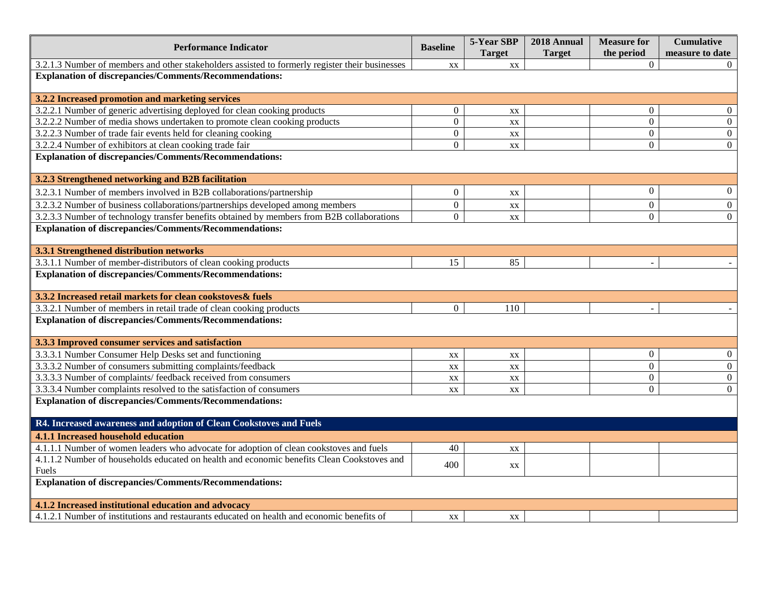| <b>Performance Indicator</b>                                                                    | <b>Baseline</b>  | 5-Year SBP<br><b>Target</b> | 2018 Annual<br><b>Target</b> | <b>Measure for</b><br>the period | <b>Cumulative</b><br>measure to date |  |  |
|-------------------------------------------------------------------------------------------------|------------------|-----------------------------|------------------------------|----------------------------------|--------------------------------------|--|--|
| 3.2.1.3 Number of members and other stakeholders assisted to formerly register their businesses | XX               | XX                          |                              | $\mathbf{0}$                     |                                      |  |  |
| <b>Explanation of discrepancies/Comments/Recommendations:</b>                                   |                  |                             |                              |                                  |                                      |  |  |
| 3.2.2 Increased promotion and marketing services                                                |                  |                             |                              |                                  |                                      |  |  |
| 3.2.2.1 Number of generic advertising deployed for clean cooking products                       | $\boldsymbol{0}$ | XX                          |                              | $\theta$                         | $\mathbf{0}$                         |  |  |
| 3.2.2.2 Number of media shows undertaken to promote clean cooking products                      | $\overline{0}$   | XX                          |                              | $\theta$                         | $\overline{0}$                       |  |  |
| 3.2.2.3 Number of trade fair events held for cleaning cooking                                   | $\overline{0}$   | XX                          |                              | $\boldsymbol{0}$                 | $\overline{0}$                       |  |  |
| 3.2.2.4 Number of exhibitors at clean cooking trade fair                                        | $\overline{0}$   | XX                          |                              | $\overline{0}$                   | $\mathbf{0}$                         |  |  |
| <b>Explanation of discrepancies/Comments/Recommendations:</b>                                   |                  |                             |                              |                                  |                                      |  |  |
| 3.2.3 Strengthened networking and B2B facilitation                                              |                  |                             |                              |                                  |                                      |  |  |
| 3.2.3.1 Number of members involved in B2B collaborations/partnership                            | $\boldsymbol{0}$ | XX                          |                              | $\boldsymbol{0}$                 | $\boldsymbol{0}$                     |  |  |
| 3.2.3.2 Number of business collaborations/partnerships developed among members                  | $\overline{0}$   | XX                          |                              | $\boldsymbol{0}$                 | $\overline{0}$                       |  |  |
| 3.2.3.3 Number of technology transfer benefits obtained by members from B2B collaborations      | $\overline{0}$   | XX                          |                              | $\overline{0}$                   | $\Omega$                             |  |  |
| <b>Explanation of discrepancies/Comments/Recommendations:</b>                                   |                  |                             |                              |                                  |                                      |  |  |
| 3.3.1 Strengthened distribution networks                                                        |                  |                             |                              |                                  |                                      |  |  |
| 3.3.1.1 Number of member-distributors of clean cooking products                                 | 15               | 85                          |                              |                                  |                                      |  |  |
| <b>Explanation of discrepancies/Comments/Recommendations:</b>                                   |                  |                             |                              |                                  |                                      |  |  |
| 3.3.2 Increased retail markets for clean cookstoves& fuels                                      |                  |                             |                              |                                  |                                      |  |  |
| 3.3.2.1 Number of members in retail trade of clean cooking products                             | $\overline{0}$   | 110                         |                              |                                  |                                      |  |  |
| <b>Explanation of discrepancies/Comments/Recommendations:</b>                                   |                  |                             |                              |                                  |                                      |  |  |
| 3.3.3 Improved consumer services and satisfaction                                               |                  |                             |                              |                                  |                                      |  |  |
| 3.3.3.1 Number Consumer Help Desks set and functioning                                          | XX               | XX                          |                              | $\boldsymbol{0}$                 | $\boldsymbol{0}$                     |  |  |
| 3.3.3.2 Number of consumers submitting complaints/feedback                                      | XX               | $\mathbf{X} \mathbf{X}$     |                              | $\overline{0}$                   | $\boldsymbol{0}$                     |  |  |
| 3.3.3.3 Number of complaints/ feedback received from consumers                                  | XX               | XX                          |                              | $\overline{0}$                   | $\overline{0}$                       |  |  |
| 3.3.3.4 Number complaints resolved to the satisfaction of consumers                             | XX               | XX                          |                              | $\theta$                         | $\Omega$                             |  |  |
| <b>Explanation of discrepancies/Comments/Recommendations:</b>                                   |                  |                             |                              |                                  |                                      |  |  |
| R4. Increased awareness and adoption of Clean Cookstoves and Fuels                              |                  |                             |                              |                                  |                                      |  |  |
| 4.1.1 Increased household education                                                             |                  |                             |                              |                                  |                                      |  |  |
| 4.1.1.1 Number of women leaders who advocate for adoption of clean cookstoves and fuels         | 40               | XX                          |                              |                                  |                                      |  |  |
| 4.1.1.2 Number of households educated on health and economic benefits Clean Cookstoves and      |                  |                             |                              |                                  |                                      |  |  |
| Fuels                                                                                           | 400              | XX                          |                              |                                  |                                      |  |  |
| <b>Explanation of discrepancies/Comments/Recommendations:</b>                                   |                  |                             |                              |                                  |                                      |  |  |
| 4.1.2 Increased institutional education and advocacy                                            |                  |                             |                              |                                  |                                      |  |  |
| 4.1.2.1 Number of institutions and restaurants educated on health and economic benefits of      | XX               | XX                          |                              |                                  |                                      |  |  |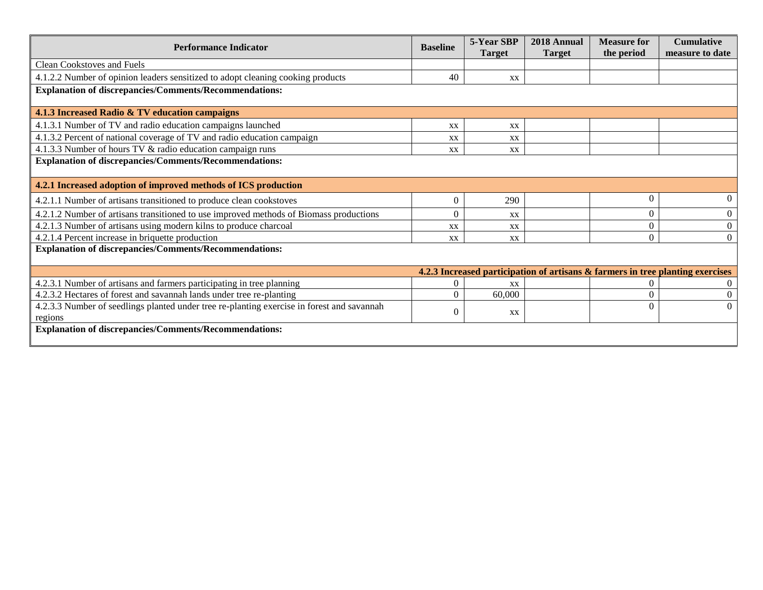| <b>Performance Indicator</b><br><b>Baseline</b>                                                       |          | 5-Year SBP<br><b>Target</b> | 2018 Annual<br><b>Target</b> | <b>Measure for</b><br>the period | <b>Cumulative</b><br>measure to date                                           |  |  |
|-------------------------------------------------------------------------------------------------------|----------|-----------------------------|------------------------------|----------------------------------|--------------------------------------------------------------------------------|--|--|
| <b>Clean Cookstoves and Fuels</b>                                                                     |          |                             |                              |                                  |                                                                                |  |  |
| 4.1.2.2 Number of opinion leaders sensitized to adopt cleaning cooking products                       | 40       | XX                          |                              |                                  |                                                                                |  |  |
| <b>Explanation of discrepancies/Comments/Recommendations:</b>                                         |          |                             |                              |                                  |                                                                                |  |  |
| 4.1.3 Increased Radio & TV education campaigns                                                        |          |                             |                              |                                  |                                                                                |  |  |
| 4.1.3.1 Number of TV and radio education campaigns launched                                           | XX       | XX                          |                              |                                  |                                                                                |  |  |
| 4.1.3.2 Percent of national coverage of TV and radio education campaign                               | XX       | XX                          |                              |                                  |                                                                                |  |  |
| 4.1.3.3 Number of hours TV & radio education campaign runs                                            | XX       | XX                          |                              |                                  |                                                                                |  |  |
| <b>Explanation of discrepancies/Comments/Recommendations:</b>                                         |          |                             |                              |                                  |                                                                                |  |  |
| 4.2.1 Increased adoption of improved methods of ICS production                                        |          |                             |                              |                                  |                                                                                |  |  |
| 4.2.1.1 Number of artisans transitioned to produce clean cookstoves                                   | 0        | 290                         |                              | $\Omega$                         | $\Omega$                                                                       |  |  |
| 4.2.1.2 Number of artisans transitioned to use improved methods of Biomass productions                | 0        | XX                          |                              | $\overline{0}$                   | $\theta$                                                                       |  |  |
| 4.2.1.3 Number of artisans using modern kilns to produce charcoal                                     | XX       | XX                          |                              | $\theta$                         | $\boldsymbol{0}$                                                               |  |  |
| 4.2.1.4 Percent increase in briquette production                                                      | XX       | XX                          |                              | $\Omega$                         | $\Omega$                                                                       |  |  |
| <b>Explanation of discrepancies/Comments/Recommendations:</b>                                         |          |                             |                              |                                  |                                                                                |  |  |
|                                                                                                       |          |                             |                              |                                  | 4.2.3 Increased participation of artisans & farmers in tree planting exercises |  |  |
| 4.2.3.1 Number of artisans and farmers participating in tree planning                                 | 0        | XX                          |                              |                                  |                                                                                |  |  |
| 4.2.3.2 Hectares of forest and savannah lands under tree re-planting                                  | 0        | 60,000                      |                              | $\Omega$                         | $\Omega$                                                                       |  |  |
| 4.2.3.3 Number of seedlings planted under tree re-planting exercise in forest and savannah<br>regions | $^{(1)}$ | XX                          |                              | $\Omega$                         | $\Omega$                                                                       |  |  |
| <b>Explanation of discrepancies/Comments/Recommendations:</b>                                         |          |                             |                              |                                  |                                                                                |  |  |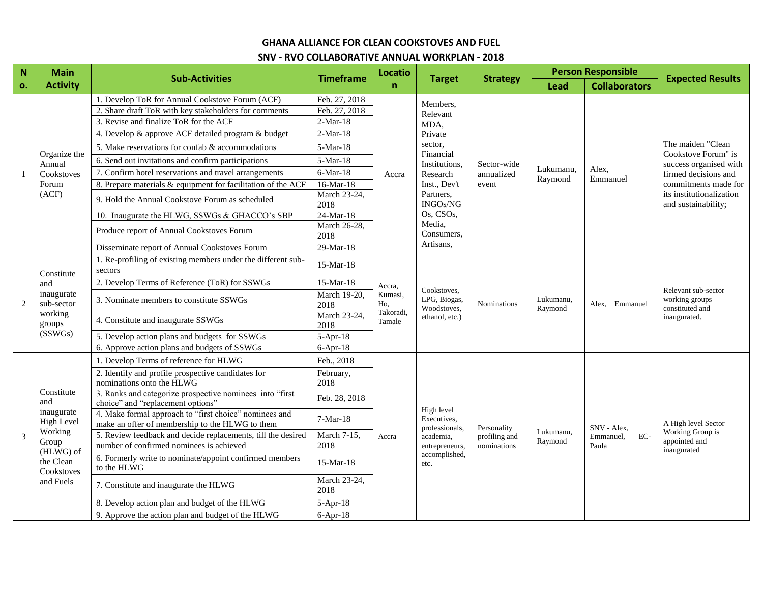#### **GHANA ALLIANCE FOR CLEAN COOKSTOVES AND FUEL**

#### **SNV - RVO COLLABORATIVE ANNUAL WORKPLAN - 2018**

| $\mathbf N$    | <b>Main</b>                                                        |                                                                                                           |                      | Locatio             |                                                                         |                    | <b>Person Responsible</b> |                      | <b>Expected Results</b>                                                  |
|----------------|--------------------------------------------------------------------|-----------------------------------------------------------------------------------------------------------|----------------------|---------------------|-------------------------------------------------------------------------|--------------------|---------------------------|----------------------|--------------------------------------------------------------------------|
| o.             | <b>Activity</b>                                                    | <b>Sub-Activities</b>                                                                                     | <b>Timeframe</b>     | $\mathsf{n}$        | <b>Target</b>                                                           | <b>Strategy</b>    | <b>Lead</b>               | <b>Collaborators</b> |                                                                          |
|                |                                                                    | 1. Develop ToR for Annual Cookstove Forum (ACF)                                                           | Feb. 27, 2018        |                     | Members,                                                                |                    |                           |                      |                                                                          |
|                |                                                                    | 2. Share draft ToR with key stakeholders for comments                                                     | Feb. 27, 2018        |                     | Relevant                                                                |                    |                           |                      |                                                                          |
|                |                                                                    | 3. Revise and finalize ToR for the ACF                                                                    | $2-Mar-18$           |                     | MDA,                                                                    |                    |                           |                      |                                                                          |
|                |                                                                    | 4. Develop & approve ACF detailed program & budget                                                        | $2-Mar-18$           |                     | Private                                                                 |                    |                           |                      |                                                                          |
|                | Organize the                                                       | 5. Make reservations for confab & accommodations                                                          | 5-Mar-18             |                     | sector,<br>Financial                                                    |                    |                           |                      | The maiden "Clean<br>Cookstove Forum" is                                 |
|                | Annual                                                             | 6. Send out invitations and confirm participations                                                        | 5-Mar-18             | Accra               | Institutions,                                                           | Sector-wide        |                           |                      | success organised with                                                   |
|                | Cookstoves                                                         | 7. Confirm hotel reservations and travel arrangements                                                     | 6-Mar-18             |                     | Research                                                                | annualized         | Lukumanu,<br>Raymond      | Alex,<br>Emmanuel    | firmed decisions and                                                     |
|                | Forum                                                              | 8. Prepare materials & equipment for facilitation of the ACF                                              | 16-Mar-18            |                     | Inst., Dev't                                                            | event              |                           |                      | commitments made for                                                     |
|                | (ACF)                                                              | 9. Hold the Annual Cookstove Forum as scheduled                                                           | March 23-24,<br>2018 |                     | Partners,<br>INGOs/NG<br>Os, CSOs,<br>Media,<br>Consumers,<br>Artisans, |                    |                           |                      | its institutionalization<br>and sustainability;                          |
|                |                                                                    | 10. Inaugurate the HLWG, SSWGs & GHACCO's SBP                                                             | $24$ -Mar-18         |                     |                                                                         |                    |                           |                      |                                                                          |
|                |                                                                    | Produce report of Annual Cookstoves Forum                                                                 | March 26-28,<br>2018 |                     |                                                                         |                    |                           |                      |                                                                          |
|                |                                                                    | Disseminate report of Annual Cookstoves Forum                                                             | 29-Mar-18            |                     |                                                                         |                    |                           |                      |                                                                          |
|                | Constitute<br>and<br>inaugurate<br>sub-sector<br>working<br>groups | 1. Re-profiling of existing members under the different sub-<br>sectors                                   | $15-Mar-18$          |                     |                                                                         |                    |                           |                      | Relevant sub-sector<br>working groups<br>constituted and<br>inaugurated. |
|                |                                                                    | 2. Develop Terms of Reference (ToR) for SSWGs                                                             | $15-Mar-18$          | Accra,              |                                                                         |                    |                           |                      |                                                                          |
| $\overline{2}$ |                                                                    | 3. Nominate members to constitute SSWGs                                                                   | March 19-20,<br>2018 | Kumasi,<br>Ho.      | Cookstoves.<br>LPG, Biogas,<br>Woodstoves,<br>ethanol, etc.)            | <b>Nominations</b> | Lukumanu,<br>Raymond      | Alex, Emmanuel       |                                                                          |
|                |                                                                    | 4. Constitute and inaugurate SSWGs                                                                        | March 23-24,<br>2018 | Takoradi.<br>Tamale |                                                                         |                    |                           |                      |                                                                          |
|                | (SSWGs)                                                            | 5. Develop action plans and budgets for SSWGs                                                             | $5-Apr-18$           |                     |                                                                         |                    |                           |                      |                                                                          |
|                |                                                                    | 6. Approve action plans and budgets of SSWGs                                                              | $6-Apr-18$           |                     |                                                                         |                    |                           |                      |                                                                          |
|                |                                                                    | 1. Develop Terms of reference for HLWG                                                                    | Feb., 2018           |                     |                                                                         |                    |                           |                      |                                                                          |
|                |                                                                    | 2. Identify and profile prospective candidates for<br>nominations onto the HLWG                           | February,<br>2018    |                     |                                                                         |                    |                           |                      |                                                                          |
|                | Constitute<br>and                                                  | 3. Ranks and categorize prospective nominees into "first<br>choice" and "replacement options"             | Feb. 28, 2018        |                     |                                                                         |                    |                           |                      |                                                                          |
|                | inaugurate<br><b>High Level</b>                                    | 4. Make formal approach to "first choice" nominees and<br>make an offer of membership to the HLWG to them | 7-Mar-18             |                     | High level<br>Executives,<br>professionals,                             | Personality        |                           | SNV - Alex.          | A High level Sector                                                      |
| 3              | Working<br>Group                                                   | 5. Review feedback and decide replacements, till the desired                                              | March 7-15,          | Accra               | academia,                                                               | profiling and      | Lukumanu,<br>Raymond      | EC-<br>Emmanuel,     | Working Group is<br>appointed and                                        |
|                | (HLWG) of                                                          | number of confirmed nominees is achieved                                                                  | 2018                 |                     | entrepreneurs,                                                          | nominations        |                           | Paula                | inaugurated                                                              |
|                | the Clean<br>Cookstoves                                            | 6. Formerly write to nominate/appoint confirmed members<br>to the HLWG                                    | 15-Mar-18            |                     | accomplished,<br>etc.                                                   |                    |                           |                      |                                                                          |
|                | and Fuels                                                          | 7. Constitute and inaugurate the HLWG                                                                     | March 23-24,<br>2018 |                     |                                                                         |                    |                           |                      |                                                                          |
|                |                                                                    | 8. Develop action plan and budget of the HLWG                                                             | $5-Apr-18$           |                     |                                                                         |                    |                           |                      |                                                                          |
|                |                                                                    | 9. Approve the action plan and budget of the HLWG                                                         | $6-Apr-18$           |                     |                                                                         |                    |                           |                      |                                                                          |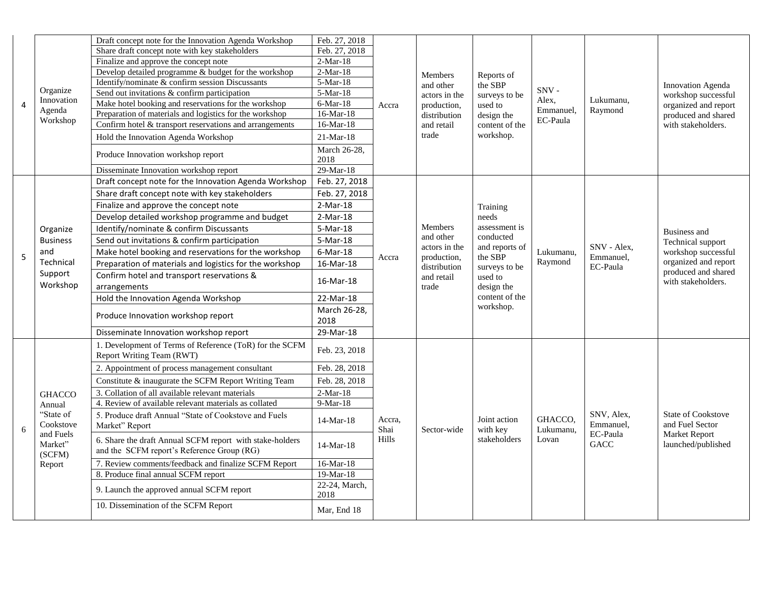|                |                                | Draft concept note for the Innovation Agenda Workshop                                                  | Feb. 27, 2018          |                |                                                           |                                        |                      |                          |                                                                                                                                      |
|----------------|--------------------------------|--------------------------------------------------------------------------------------------------------|------------------------|----------------|-----------------------------------------------------------|----------------------------------------|----------------------|--------------------------|--------------------------------------------------------------------------------------------------------------------------------------|
|                |                                | Share draft concept note with key stakeholders                                                         | Feb. 27, 2018          |                |                                                           | Reports of<br>the SBP<br>surveys to be |                      | Lukumanu,<br>Raymond     | Innovation Agenda<br>workshop successful                                                                                             |
|                |                                | Finalize and approve the concept note                                                                  | $2-Mar-18$             |                |                                                           |                                        |                      |                          |                                                                                                                                      |
|                |                                | Develop detailed programme & budget for the workshop                                                   | $2-Mar-18$             |                | Members                                                   |                                        |                      |                          |                                                                                                                                      |
|                |                                | Identify/nominate & confirm session Discussants                                                        | $\overline{5}$ -Mar-18 |                | and other<br>actors in the<br>production,<br>distribution |                                        |                      |                          |                                                                                                                                      |
|                | Organize                       | Send out invitations & confirm participation                                                           | 5-Mar-18               |                |                                                           |                                        | SNV-                 |                          |                                                                                                                                      |
| $\overline{4}$ | Innovation                     | Make hotel booking and reservations for the workshop                                                   | $6-Mar-18$             | Accra          |                                                           | used to                                | Alex,<br>Emmanuel,   |                          | organized and report                                                                                                                 |
|                | Agenda<br>Workshop             | Preparation of materials and logistics for the workshop                                                | 16-Mar-18              |                |                                                           | design the                             | EC-Paula             |                          | produced and shared                                                                                                                  |
|                |                                | Confirm hotel & transport reservations and arrangements                                                | 16-Mar-18              |                | and retail                                                | content of the                         |                      |                          | with stakeholders.                                                                                                                   |
|                |                                | Hold the Innovation Agenda Workshop                                                                    | $21-Mar-18$            |                | trade                                                     | workshop.                              |                      |                          |                                                                                                                                      |
|                |                                | Produce Innovation workshop report                                                                     | March 26-28,<br>2018   |                |                                                           |                                        |                      |                          |                                                                                                                                      |
|                |                                | Disseminate Innovation workshop report                                                                 | 29-Mar-18              |                |                                                           |                                        |                      |                          |                                                                                                                                      |
|                |                                | Draft concept note for the Innovation Agenda Workshop                                                  | Feb. 27, 2018          |                |                                                           |                                        |                      |                          |                                                                                                                                      |
| 5              |                                | Share draft concept note with key stakeholders                                                         | Feb. 27, 2018          |                |                                                           |                                        |                      |                          | <b>Business and</b><br>Technical support<br>workshop successful<br>organized and report<br>produced and shared<br>with stakeholders. |
|                |                                | Finalize and approve the concept note                                                                  | $2-Mar-18$             |                |                                                           | Training<br>needs                      |                      |                          |                                                                                                                                      |
|                |                                | Develop detailed workshop programme and budget                                                         | $2-Mar-18$             |                |                                                           |                                        |                      |                          |                                                                                                                                      |
|                | Organize                       | Identify/nominate & confirm Discussants                                                                | 5-Mar-18               |                | Members                                                   | assessment is                          |                      |                          |                                                                                                                                      |
|                | <b>Business</b>                | Send out invitations & confirm participation                                                           | $5-Mar-18$             |                | and other                                                 | conducted                              |                      |                          |                                                                                                                                      |
|                | and                            | Make hotel booking and reservations for the workshop                                                   | $6$ -Mar-18            |                | actors in the                                             | and reports of<br>the SBP              | Lukumanu,            | SNV - Alex,<br>Emmanuel. |                                                                                                                                      |
|                | Technical                      | Preparation of materials and logistics for the workshop                                                | 16-Mar-18              | Accra          | production,<br>distribution                               | surveys to be                          | Raymond              | EC-Paula                 |                                                                                                                                      |
|                | Support                        | Confirm hotel and transport reservations &                                                             |                        |                | and retail                                                | used to                                |                      |                          |                                                                                                                                      |
|                | Workshop                       | arrangements                                                                                           | 16-Mar-18              |                | trade                                                     | design the                             |                      |                          |                                                                                                                                      |
|                |                                | Hold the Innovation Agenda Workshop                                                                    | 22-Mar-18              |                |                                                           | content of the                         |                      |                          |                                                                                                                                      |
|                |                                | Produce Innovation workshop report                                                                     | March 26-28,           |                |                                                           | workshop.                              |                      |                          |                                                                                                                                      |
|                |                                |                                                                                                        | 2018                   |                |                                                           |                                        |                      |                          |                                                                                                                                      |
|                |                                | Disseminate Innovation workshop report                                                                 | 29-Mar-18              |                |                                                           |                                        |                      |                          |                                                                                                                                      |
|                |                                | 1. Development of Terms of Reference (ToR) for the SCFM                                                | Feb. 23, 2018          |                |                                                           |                                        |                      |                          |                                                                                                                                      |
|                |                                | Report Writing Team (RWT)                                                                              |                        |                |                                                           |                                        |                      |                          |                                                                                                                                      |
|                |                                | 2. Appointment of process management consultant                                                        | Feb. 28, 2018          |                |                                                           |                                        |                      |                          |                                                                                                                                      |
|                |                                | Constitute & inaugurate the SCFM Report Writing Team                                                   | Feb. 28, 2018          |                |                                                           |                                        |                      |                          |                                                                                                                                      |
|                | <b>GHACCO</b>                  | 3. Collation of all available relevant materials                                                       | $2-Mar-18$             |                |                                                           |                                        |                      |                          |                                                                                                                                      |
|                | Annual                         | 4. Review of available relevant materials as collated                                                  | 9-Mar-18               |                |                                                           |                                        |                      |                          |                                                                                                                                      |
| 6              | "State of<br>Cookstove         | 5. Produce draft Annual "State of Cookstove and Fuels<br>Market" Report                                | $14-Mar-18$            | Accra,<br>Shai | Sector-wide                                               | Joint action<br>with key               | GHACCO.<br>Lukumanu, | SNV, Alex,<br>Emmanuel,  | <b>State of Cookstove</b><br>and Fuel Sector                                                                                         |
|                | and Fuels<br>Market"<br>(SCFM) | 6. Share the draft Annual SCFM report with stake-holders<br>and the SCFM report's Reference Group (RG) | 14-Mar-18              | Hills          |                                                           | stakeholders                           | Lovan                | EC-Paula<br>GACC         | Market Report<br>launched/published                                                                                                  |
|                | Report                         | 7. Review comments/feedback and finalize SCFM Report                                                   | 16-Mar-18              |                |                                                           |                                        |                      |                          |                                                                                                                                      |
|                |                                | 8. Produce final annual SCFM report                                                                    | 19-Mar-18              |                |                                                           |                                        |                      |                          |                                                                                                                                      |
|                |                                | 9. Launch the approved annual SCFM report                                                              | 22-24, March,          |                |                                                           |                                        |                      |                          |                                                                                                                                      |
|                |                                |                                                                                                        | 2018                   |                |                                                           |                                        |                      |                          |                                                                                                                                      |
|                |                                | 10. Dissemination of the SCFM Report                                                                   | Mar, End 18            |                |                                                           |                                        |                      |                          |                                                                                                                                      |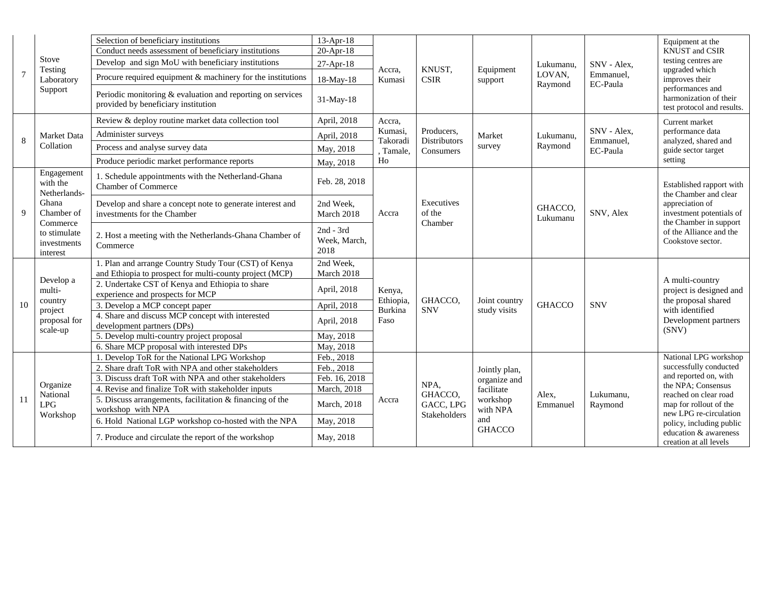|    |                                                                                                                           | Selection of beneficiary institutions                                                             | $13-Apr-18$                       |                      |                                                |                               | Lukumanu.<br>LOVAN,<br>Raymond | SNV - Alex,<br>Emmanuel,<br>EC-Paula | Equipment at the                                                         |
|----|---------------------------------------------------------------------------------------------------------------------------|---------------------------------------------------------------------------------------------------|-----------------------------------|----------------------|------------------------------------------------|-------------------------------|--------------------------------|--------------------------------------|--------------------------------------------------------------------------|
|    |                                                                                                                           | Conduct needs assessment of beneficiary institutions                                              | 20-Apr-18                         |                      |                                                |                               |                                |                                      | <b>KNUST</b> and CSIR                                                    |
|    | Stove<br>Testing                                                                                                          | Develop and sign MoU with beneficiary institutions                                                | 27-Apr-18                         | Accra.               | KNUST.                                         | Equipment                     |                                |                                      | testing centres are<br>upgraded which                                    |
| 7  | Laboratory                                                                                                                | Procure required equipment & machinery for the institutions                                       | 18-May-18                         | Kumasi               | <b>CSIR</b>                                    | support                       |                                |                                      | improves their                                                           |
|    | Support                                                                                                                   | Periodic monitoring & evaluation and reporting on services<br>provided by beneficiary institution | 31-May-18                         |                      |                                                |                               |                                |                                      | performances and<br>harmonization of their<br>test protocol and results. |
|    |                                                                                                                           | Review & deploy routine market data collection tool                                               | April, 2018                       | Accra,               |                                                |                               |                                |                                      | Current market                                                           |
| 8  | Market Data                                                                                                               | Administer surveys                                                                                | April, 2018                       | Kumasi,<br>Takoradi  | Producers,<br><b>Distributors</b><br>Consumers | Market<br>survey              | Lukumanu,                      | SNV - Alex,<br>Emmanuel,             | performance data<br>analyzed, shared and                                 |
|    | Collation                                                                                                                 | Process and analyse survey data                                                                   | May, 2018                         | , Tamale,<br>Ho      |                                                |                               | Raymond                        | EC-Paula                             | guide sector target                                                      |
|    |                                                                                                                           | Produce periodic market performance reports                                                       | May, 2018                         |                      |                                                |                               |                                |                                      | setting                                                                  |
|    | Engagement<br>with the<br>Netherlands-<br>Ghana<br>9<br>Chamber of<br>Commerce<br>to stimulate<br>investments<br>interest | 1. Schedule appointments with the Netherland-Ghana<br><b>Chamber of Commerce</b>                  | Feb. 28, 2018                     | Accra                | Executives<br>of the<br>Chamber                |                               | GHACCO,<br>Lukumanu            | SNV, Alex                            | Established rapport with<br>the Chamber and clear                        |
|    |                                                                                                                           | Develop and share a concept note to generate interest and<br>investments for the Chamber          | 2nd Week,<br>March 2018           |                      |                                                |                               |                                |                                      | appreciation of<br>investment potentials of<br>the Chamber in support    |
|    |                                                                                                                           | 2. Host a meeting with the Netherlands-Ghana Chamber of<br>Commerce                               | 2nd - 3rd<br>Week, March,<br>2018 |                      |                                                |                               |                                |                                      | of the Alliance and the<br>Cookstove sector.                             |
|    |                                                                                                                           | 1. Plan and arrange Country Study Tour (CST) of Kenya                                             | 2nd Week,                         |                      |                                                |                               |                                | <b>SNV</b>                           |                                                                          |
|    | Develop a                                                                                                                 | and Ethiopia to prospect for multi-county project (MCP)                                           | March 2018                        |                      |                                                |                               | <b>GHACCO</b>                  |                                      | A multi-country                                                          |
|    | multi-                                                                                                                    | 2. Undertake CST of Kenya and Ethiopia to share<br>experience and prospects for MCP               | April, 2018                       | Kenya,               |                                                |                               |                                |                                      | project is designed and<br>the proposal shared                           |
| 10 | country<br>project                                                                                                        | 3. Develop a MCP concept paper                                                                    | April, 2018                       | Ethiopia,<br>Burkina | GHACCO,<br><b>SNV</b>                          | Joint country<br>study visits |                                |                                      | with identified                                                          |
|    | proposal for                                                                                                              | 4. Share and discuss MCP concept with interested                                                  | April, 2018                       | Faso                 |                                                |                               |                                |                                      | Development partners                                                     |
|    | scale-up                                                                                                                  | development partners (DPs)                                                                        |                                   |                      |                                                |                               |                                |                                      | (SNV)                                                                    |
|    |                                                                                                                           | 5. Develop multi-country project proposal                                                         | May, 2018                         |                      |                                                |                               |                                |                                      |                                                                          |
|    |                                                                                                                           | 6. Share MCP proposal with interested DPs<br>. Develop ToR for the National LPG Workshop          | May, 2018                         |                      |                                                |                               |                                |                                      | National LPG workshop                                                    |
|    |                                                                                                                           | 2. Share draft ToR with NPA and other stakeholders                                                | Feb., 2018<br>Feb., 2018          |                      |                                                |                               |                                |                                      | successfully conducted                                                   |
|    |                                                                                                                           | 3. Discuss draft ToR with NPA and other stakeholders                                              | Feb. 16, 2018                     |                      |                                                | Jointly plan,                 |                                |                                      | and reported on, with                                                    |
|    | Organize                                                                                                                  | 4. Revise and finalize ToR with stakeholder inputs                                                | March, 2018                       |                      | NPA,                                           | organize and<br>facilitate    |                                |                                      | the NPA; Consensus                                                       |
| 11 | National<br>LPG                                                                                                           | 5. Discuss arrangements, facilitation & financing of the<br>workshop with NPA                     | March, 2018                       | Accra                | GHACCO.<br>GACC, LPG                           | workshop<br>with NPA          | Alex,<br>Emmanuel              | Lukumanu,<br>Raymond                 | reached on clear road<br>map for rollout of the                          |
|    | Workshop                                                                                                                  | 6. Hold National LGP workshop co-hosted with the NPA                                              | May, 2018                         |                      | Stakeholders                                   | and                           |                                |                                      | new LPG re-circulation<br>policy, including public                       |
|    |                                                                                                                           | 7. Produce and circulate the report of the workshop                                               | May, 2018                         |                      |                                                | <b>GHACCO</b>                 |                                |                                      | education & awareness<br>creation at all levels                          |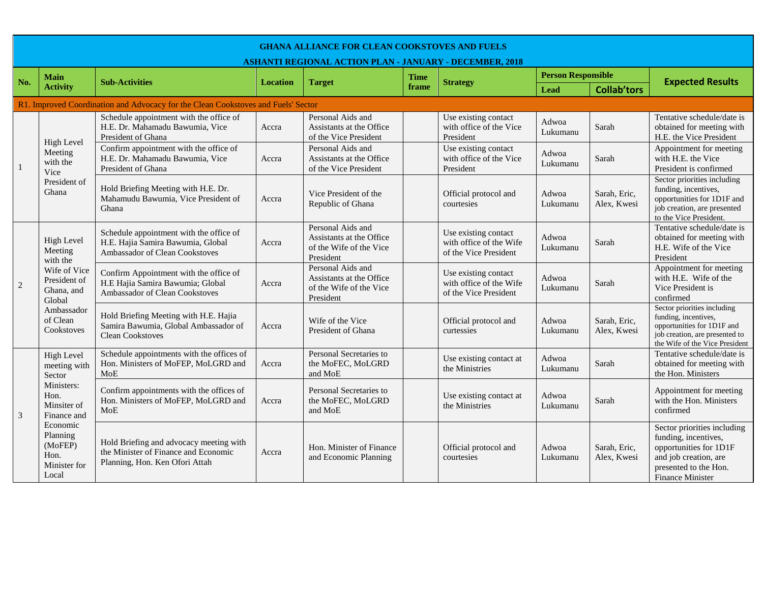|                | <b>GHANA ALLIANCE FOR CLEAN COOKSTOVES AND FUELS</b><br><b>ASHANTI REGIONAL ACTION PLAN - JANUARY - DECEMBER, 2018</b> |                                                                                                                   |                 |                                                                                       |             |                                                                          |                           |                             |                                                                                                                                                            |  |
|----------------|------------------------------------------------------------------------------------------------------------------------|-------------------------------------------------------------------------------------------------------------------|-----------------|---------------------------------------------------------------------------------------|-------------|--------------------------------------------------------------------------|---------------------------|-----------------------------|------------------------------------------------------------------------------------------------------------------------------------------------------------|--|
| No.            | <b>Main</b>                                                                                                            | <b>Sub-Activities</b>                                                                                             | <b>Location</b> |                                                                                       | <b>Time</b> |                                                                          | <b>Person Responsible</b> |                             |                                                                                                                                                            |  |
|                | <b>Activity</b>                                                                                                        |                                                                                                                   |                 | <b>Target</b>                                                                         | frame       | <b>Strategy</b>                                                          | Lead                      | <b>Collab'tors</b>          | <b>Expected Results</b>                                                                                                                                    |  |
|                |                                                                                                                        | R1. Improved Coordination and Advocacy for the Clean Cookstoves and Fuels' Sector                                 |                 |                                                                                       |             |                                                                          |                           |                             |                                                                                                                                                            |  |
| $\mathbf{1}$   | <b>High Level</b>                                                                                                      | Schedule appointment with the office of<br>H.E. Dr. Mahamadu Bawumia, Vice<br>President of Ghana                  | Accra           | Personal Aids and<br>Assistants at the Office<br>of the Vice President                |             | Use existing contact<br>with office of the Vice<br>President             | Adwoa<br>Lukumanu         | Sarah                       | Tentative schedule/date is<br>obtained for meeting with<br>H.E. the Vice President                                                                         |  |
|                | Meeting<br>with the<br>Vice                                                                                            | Confirm appointment with the office of<br>H.E. Dr. Mahamadu Bawumia, Vice<br>President of Ghana                   | Accra           | Personal Aids and<br>Assistants at the Office<br>of the Vice President                |             | Use existing contact<br>with office of the Vice<br>President             | Adwoa<br>Lukumanu         | Sarah                       | Appointment for meeting<br>with H.E. the Vice<br>President is confirmed                                                                                    |  |
|                | President of<br>Ghana                                                                                                  | Hold Briefing Meeting with H.E. Dr.<br>Mahamudu Bawumia, Vice President of<br>Ghana                               | Accra           | Vice President of the<br>Republic of Ghana                                            |             | Official protocol and<br>courtesies                                      | Adwoa<br>Lukumanu         | Sarah, Eric,<br>Alex, Kwesi | Sector priorities including<br>funding, incentives,<br>opportunities for 1D1F and<br>job creation, are presented<br>to the Vice President.                 |  |
|                | <b>High Level</b><br>Meeting<br>with the                                                                               | Schedule appointment with the office of<br>H.E. Hajia Samira Bawumia, Global<br>Ambassador of Clean Cookstoves    | Accra           | Personal Aids and<br>Assistants at the Office<br>of the Wife of the Vice<br>President |             | Use existing contact<br>with office of the Wife<br>of the Vice President | Adwoa<br>Lukumanu         | Sarah                       | Tentative schedule/date is<br>obtained for meeting with<br>H.E. Wife of the Vice<br>President                                                              |  |
| $\overline{2}$ | Wife of Vice<br>President of<br>Ghana, and<br>Global                                                                   | Confirm Appointment with the office of<br>H.E Hajia Samira Bawumia; Global<br>Ambassador of Clean Cookstoves      | Accra           | Personal Aids and<br>Assistants at the Office<br>of the Wife of the Vice<br>President |             | Use existing contact<br>with office of the Wife<br>of the Vice President | Adwoa<br>Lukumanu         | Sarah                       | Appointment for meeting<br>with H.E. Wife of the<br>Vice President is<br>confirmed                                                                         |  |
|                | Ambassador<br>of Clean<br>Cookstoves                                                                                   | Hold Briefing Meeting with H.E. Hajia<br>Samira Bawumia, Global Ambassador of<br><b>Clean Cookstoves</b>          | Accra           | Wife of the Vice<br>President of Ghana                                                |             | Official protocol and<br>curtessies                                      | Adwoa<br>Lukumanu         | Sarah, Eric,<br>Alex, Kwesi | Sector priorities including<br>funding, incentives,<br>opportunities for 1D1F and<br>job creation, are presented to<br>the Wife of the Vice President      |  |
|                | <b>High Level</b><br>meeting with<br>Sector                                                                            | Schedule appointments with the offices of<br>Hon. Ministers of MoFEP, MoLGRD and<br>MoE                           | Accra           | Personal Secretaries to<br>the MoFEC, MoLGRD<br>and MoE                               |             | Use existing contact at<br>the Ministries                                | Adwoa<br>Lukumanu         | Sarah                       | Tentative schedule/date is<br>obtained for meeting with<br>the Hon. Ministers                                                                              |  |
| 3              | Ministers:<br>Hon.<br>Minsiter of<br>Finance and                                                                       | Confirm appointments with the offices of<br>Hon. Ministers of MoFEP, MoLGRD and<br>MoE                            | Accra           | Personal Secretaries to<br>the MoFEC, MoLGRD<br>and MoE                               |             | Use existing contact at<br>the Ministries                                | Adwoa<br>Lukumanu         | Sarah                       | Appointment for meeting<br>with the Hon. Ministers<br>confirmed                                                                                            |  |
|                | Economic<br>Planning<br>(MoFEP)<br>Hon.<br>Minister for<br>Local                                                       | Hold Briefing and advocacy meeting with<br>the Minister of Finance and Economic<br>Planning, Hon. Ken Ofori Attah | Accra           | Hon. Minister of Finance<br>and Economic Planning                                     |             | Official protocol and<br>courtesies                                      | Adwoa<br>Lukumanu         | Sarah, Eric,<br>Alex. Kwesi | Sector priorities including<br>funding, incentives,<br>opportunities for 1D1F<br>and job creation, are<br>presented to the Hon.<br><b>Finance Minister</b> |  |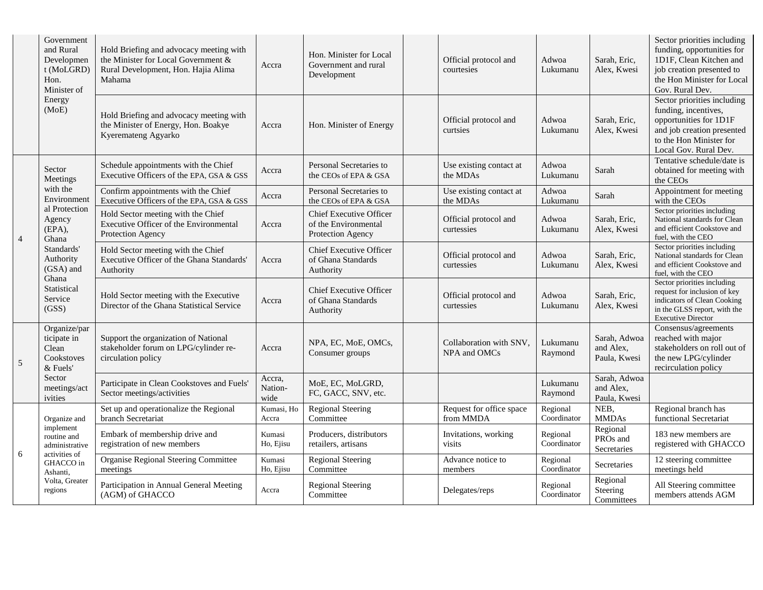|                | Government<br>and Rural<br>Developmen<br>t (MoLGRD)<br>Hon.<br>Minister of<br>Energy<br>(MoE)                                                             | Hold Briefing and advocacy meeting with<br>the Minister for Local Government &<br>Rural Development, Hon. Hajia Alima<br>Mahama | Accra                     | Hon. Minister for Local<br>Government and rural<br>Development              | Official protocol and<br>courtesies     | Adwoa<br>Lukumanu       | Sarah, Eric,<br>Alex, Kwesi               | Sector priorities including<br>funding, opportunities for<br>1D1F, Clean Kitchen and<br>job creation presented to<br>the Hon Minister for Local<br>Gov. Rural Dev. |
|----------------|-----------------------------------------------------------------------------------------------------------------------------------------------------------|---------------------------------------------------------------------------------------------------------------------------------|---------------------------|-----------------------------------------------------------------------------|-----------------------------------------|-------------------------|-------------------------------------------|--------------------------------------------------------------------------------------------------------------------------------------------------------------------|
|                |                                                                                                                                                           | Hold Briefing and advocacy meeting with<br>the Minister of Energy, Hon. Boakye<br>Kyeremateng Agyarko                           | Accra                     | Hon. Minister of Energy                                                     | Official protocol and<br>curtsies       | Adwoa<br>Lukumanu       | Sarah, Eric,<br>Alex, Kwesi               | Sector priorities including<br>funding, incentives,<br>opportunities for 1D1F<br>and job creation presented<br>to the Hon Minister for<br>Local Gov. Rural Dev.    |
|                | Sector<br>Meetings                                                                                                                                        | Schedule appointments with the Chief<br>Executive Officers of the EPA, GSA & GSS                                                | Accra                     | Personal Secretaries to<br>the CEOs of EPA & GSA                            | Use existing contact at<br>the MDAs     | Adwoa<br>Lukumanu       | Sarah                                     | Tentative schedule/date is<br>obtained for meeting with<br>the CEOs                                                                                                |
|                | with the<br>Environment<br>al Protection<br>Agency<br>(EPA),<br>Ghana<br>Standards'<br>Authority<br>(GSA) and<br>Ghana<br>Statistical<br>Service<br>(GSS) | Confirm appointments with the Chief<br>Executive Officers of the EPA, GSA & GSS                                                 | Accra                     | Personal Secretaries to<br>the CEOs of EPA & GSA                            | Use existing contact at<br>the MDAs     | Adwoa<br>Lukumanu       | Sarah                                     | Appointment for meeting<br>with the CEOs                                                                                                                           |
| $\overline{4}$ |                                                                                                                                                           | Hold Sector meeting with the Chief<br>Executive Officer of the Environmental<br>Protection Agency                               | Accra                     | <b>Chief Executive Officer</b><br>of the Environmental<br>Protection Agency | Official protocol and<br>curtessies     | Adwoa<br>Lukumanu       | Sarah, Eric,<br>Alex, Kwesi               | Sector priorities including<br>National standards for Clean<br>and efficient Cookstove and<br>fuel, with the CEO                                                   |
|                |                                                                                                                                                           | Hold Sector meeting with the Chief<br>Executive Officer of the Ghana Standards'<br>Authority                                    | Accra                     | <b>Chief Executive Officer</b><br>of Ghana Standards<br>Authority           | Official protocol and<br>curtessies     | Adwoa<br>Lukumanu       | Sarah, Eric,<br>Alex, Kwesi               | Sector priorities including<br>National standards for Clean<br>and efficient Cookstove and<br>fuel, with the CEO                                                   |
|                |                                                                                                                                                           | Hold Sector meeting with the Executive<br>Director of the Ghana Statistical Service                                             | Accra                     | <b>Chief Executive Officer</b><br>of Ghana Standards<br>Authority           | Official protocol and<br>curtessies     | Adwoa<br>Lukumanu       | Sarah, Eric,<br>Alex, Kwesi               | Sector priorities including<br>request for inclusion of key<br>indicators of Clean Cooking<br>in the GLSS report, with the<br><b>Executive Director</b>            |
| 5              | Organize/par<br>ticipate in<br>Clean<br>Cookstoves<br>& Fuels'<br>Sector<br>meetings/act<br>ivities                                                       | Support the organization of National<br>stakeholder forum on LPG/cylinder re-<br>circulation policy                             | Accra                     | NPA, EC, MoE, OMCs,<br>Consumer groups                                      | Collaboration with SNV.<br>NPA and OMCs | Lukumanu<br>Raymond     | Sarah, Adwoa<br>and Alex,<br>Paula, Kwesi | Consensus/agreements<br>reached with major<br>stakeholders on roll out of<br>the new LPG/cylinder<br>recirculation policy                                          |
|                |                                                                                                                                                           | Participate in Clean Cookstoves and Fuels'<br>Sector meetings/activities                                                        | Accra,<br>Nation-<br>wide | MoE, EC, MoLGRD,<br>FC, GACC, SNV, etc.                                     |                                         | Lukumanu<br>Raymond     | Sarah, Adwoa<br>and Alex,<br>Paula, Kwesi |                                                                                                                                                                    |
| 6              | Organize and                                                                                                                                              | Set up and operationalize the Regional<br>branch Secretariat                                                                    | Kumasi, Ho<br>Accra       | <b>Regional Steering</b><br>Committee                                       | Request for office space<br>from MMDA   | Regional<br>Coordinator | NEB,<br><b>MMDAs</b>                      | Regional branch has<br>functional Secretariat                                                                                                                      |
|                | implement<br>routine and<br>administrative<br>activities of                                                                                               | Embark of membership drive and<br>registration of new members                                                                   | Kumasi<br>Ho, Ejisu       | Producers, distributors<br>retailers, artisans                              | Invitations, working<br>visits          | Regional<br>Coordinator | Regional<br>PROs and<br>Secretaries       | 183 new members are<br>registered with GHACCO                                                                                                                      |
|                | GHACCO in<br>Ashanti,                                                                                                                                     | <b>Organise Regional Steering Committee</b><br>meetings                                                                         | Kumasi<br>Ho, Ejisu       | <b>Regional Steering</b><br>Committee                                       | Advance notice to<br>members            | Regional<br>Coordinator | Secretaries                               | 12 steering committee<br>meetings held                                                                                                                             |
|                | Volta, Greater<br>regions                                                                                                                                 | Participation in Annual General Meeting<br>(AGM) of GHACCO                                                                      | Accra                     | <b>Regional Steering</b><br>Committee                                       | Delegates/reps                          | Regional<br>Coordinator | Regional<br>Steering<br>Committees        | All Steering committee<br>members attends AGM                                                                                                                      |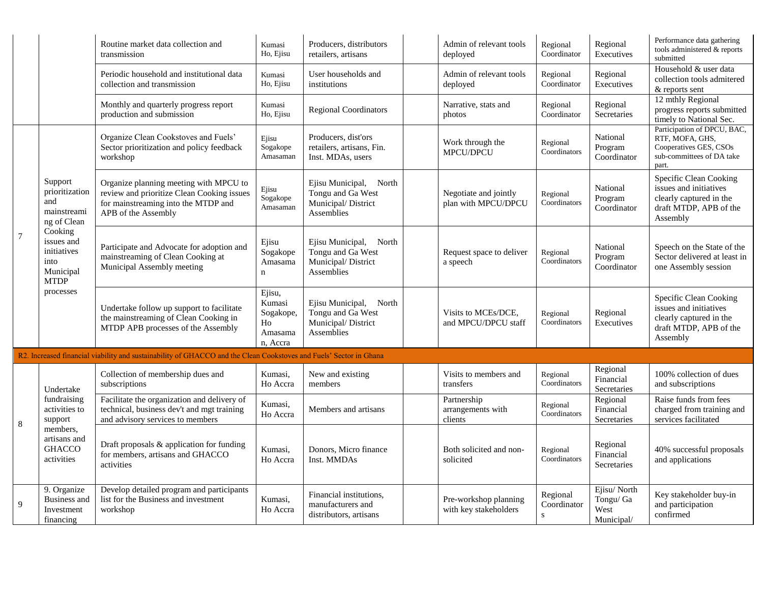|                |                                                                                                                                                         | Routine market data collection and<br>transmission                                                                                                 | Kumasi<br>Ho, Ejisu                                                    | Producers, distributors<br>retailers, artisans                                      | Admin of relevant tools<br>deployed            | Regional<br>Coordinator              | Regional<br>Executives                         | Performance data gathering<br>tools administered & reports<br>submitted                                           |
|----------------|---------------------------------------------------------------------------------------------------------------------------------------------------------|----------------------------------------------------------------------------------------------------------------------------------------------------|------------------------------------------------------------------------|-------------------------------------------------------------------------------------|------------------------------------------------|--------------------------------------|------------------------------------------------|-------------------------------------------------------------------------------------------------------------------|
|                |                                                                                                                                                         | Periodic household and institutional data<br>collection and transmission                                                                           | Kumasi<br>Ho, Ejisu                                                    | User households and<br>institutions                                                 | Admin of relevant tools<br>deployed            | Regional<br>Coordinator              | Regional<br>Executives                         | Household & user data<br>collection tools admitered<br>& reports sent                                             |
|                |                                                                                                                                                         | Monthly and quarterly progress report<br>production and submission                                                                                 | Kumasi<br>Ho, Ejisu                                                    | <b>Regional Coordinators</b>                                                        | Narrative, stats and<br>photos                 | Regional<br>Coordinator              | Regional<br>Secretaries                        | 12 mthly Regional<br>progress reports submitted<br>timely to National Sec.                                        |
|                | Support<br>prioritization<br>and<br>mainstreami<br>ng of Clean<br>Cooking<br>issues and<br>initiatives<br>into<br>Municipal<br><b>MTDP</b><br>processes | Organize Clean Cookstoves and Fuels'<br>Sector prioritization and policy feedback<br>workshop                                                      | Ejisu<br>Sogakope<br>Amasaman                                          | Producers, dist'ors<br>retailers, artisans, Fin.<br>Inst. MDAs, users               | Work through the<br>MPCU/DPCU                  | Regional<br>Coordinators             | National<br>Program<br>Coordinator             | Participation of DPCU, BAC,<br>RTF, MOFA, GHS,<br>Cooperatives GES, CSOs<br>sub-committees of DA take<br>part.    |
|                |                                                                                                                                                         | Organize planning meeting with MPCU to<br>review and prioritize Clean Cooking issues<br>for mainstreaming into the MTDP and<br>APB of the Assembly | Ejisu<br>Sogakope<br>Amasaman                                          | Ejisu Municipal,<br>North<br>Tongu and Ga West<br>Municipal/ District<br>Assemblies | Negotiate and jointly<br>plan with MPCU/DPCU   | Regional<br>Coordinators             | National<br>Program<br>Coordinator             | Specific Clean Cooking<br>issues and initiatives<br>clearly captured in the<br>draft MTDP, APB of the<br>Assembly |
| $\overline{7}$ |                                                                                                                                                         | Participate and Advocate for adoption and<br>mainstreaming of Clean Cooking at<br>Municipal Assembly meeting                                       | Ejisu<br>Sogakope<br>Amasama<br>$\mathbf n$                            | Ejisu Municipal, North<br>Tongu and Ga West<br>Municipal/ District<br>Assemblies    | Request space to deliver<br>a speech           | Regional<br>Coordinators             | National<br>Program<br>Coordinator             | Speech on the State of the<br>Sector delivered at least in<br>one Assembly session                                |
|                |                                                                                                                                                         | Undertake follow up support to facilitate<br>the mainstreaming of Clean Cooking in<br>MTDP APB processes of the Assembly                           | Ejisu,<br>Kumasi<br>Sogakope,<br>H <sub>o</sub><br>Amasama<br>n, Accra | Ejisu Municipal, North<br>Tongu and Ga West<br>Municipal/District<br>Assemblies     | Visits to MCEs/DCE,<br>and MPCU/DPCU staff     | Regional<br>Coordinators             | Regional<br>Executives                         | Specific Clean Cooking<br>issues and initiatives<br>clearly captured in the<br>draft MTDP, APB of the<br>Assembly |
|                |                                                                                                                                                         | R2. Increased financial viability and sustainability of GHACCO and the Clean Cookstoves and Fuels' Sector in Ghana                                 |                                                                        |                                                                                     |                                                |                                      |                                                |                                                                                                                   |
|                | Undertake<br>fundraising<br>activities to<br>support<br>members,<br>artisans and<br><b>GHACCO</b><br>activities                                         | Collection of membership dues and<br>subscriptions                                                                                                 | Kumasi,<br>Ho Accra                                                    | New and existing<br>members                                                         | Visits to members and<br>transfers             | Regional<br>Coordinators             | Regional<br>Financial<br>Secretaries           | 100% collection of dues<br>and subscriptions                                                                      |
| $\,8\,$        |                                                                                                                                                         | Facilitate the organization and delivery of<br>technical, business dev't and mgt training<br>and advisory services to members                      | Kumasi,<br>Ho Accra                                                    | Members and artisans                                                                | Partnership<br>arrangements with<br>clients    | Regional<br>Coordinators             | Regional<br>Financial<br>Secretaries           | Raise funds from fees<br>charged from training and<br>services facilitated                                        |
|                |                                                                                                                                                         | Draft proposals & application for funding<br>for members, artisans and GHACCO<br>activities                                                        | Kumasi,<br>Ho Accra                                                    | Donors, Micro finance<br>Inst. MMDAs                                                | Both solicited and non-<br>solicited           | Regional<br>Coordinators             | Regional<br>Financial<br>Secretaries           | 40% successful proposals<br>and applications                                                                      |
| 9              | 9. Organize<br>Business and<br>Investment<br>financing                                                                                                  | Develop detailed program and participants<br>list for the Business and investment<br>workshop                                                      | Kumasi,<br>Ho Accra                                                    | Financial institutions,<br>manufacturers and<br>distributors, artisans              | Pre-workshop planning<br>with key stakeholders | Regional<br>Coordinator<br>${\bf S}$ | Ejisu/North<br>Tongu/ Ga<br>West<br>Municipal/ | Key stakeholder buy-in<br>and participation<br>confirmed                                                          |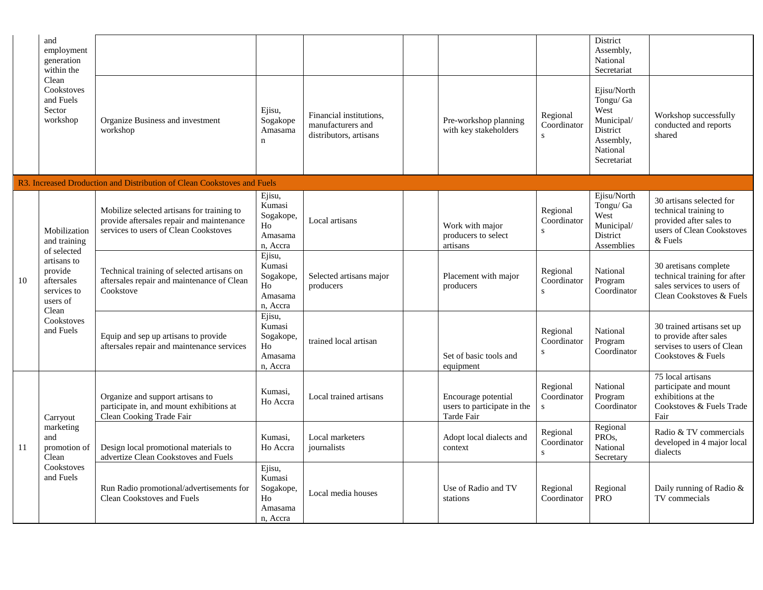|    | and<br>employment<br>generation<br>within the<br>Clean<br>Cookstoves<br>and Fuels<br>Sector<br>workshop                                            |                                                                                                                                  |                                                            |                                                                        |                                                                  |                                         | District<br>Assembly,<br>National<br>Secretariat                                                   |                                                                                                                        |
|----|----------------------------------------------------------------------------------------------------------------------------------------------------|----------------------------------------------------------------------------------------------------------------------------------|------------------------------------------------------------|------------------------------------------------------------------------|------------------------------------------------------------------|-----------------------------------------|----------------------------------------------------------------------------------------------------|------------------------------------------------------------------------------------------------------------------------|
|    |                                                                                                                                                    | Organize Business and investment<br>workshop                                                                                     | Ejisu,<br>Sogakope<br>Amasama<br>$\mathbf n$               | Financial institutions,<br>manufacturers and<br>distributors, artisans | Pre-workshop planning<br>with key stakeholders                   | Regional<br>Coordinator<br>$\mathbf{s}$ | Ejisu/North<br>Tongu/ Ga<br>West<br>Municipal/<br>District<br>Assembly,<br>National<br>Secretariat | Workshop successfully<br>conducted and reports<br>shared                                                               |
|    |                                                                                                                                                    | R3. Increased Droduction and Distribution of Clean Cookstoves and Fuels                                                          |                                                            |                                                                        |                                                                  |                                         |                                                                                                    |                                                                                                                        |
| 10 | Mobilization<br>and training<br>of selected<br>artisans to<br>provide<br>aftersales<br>services to<br>users of<br>Clean<br>Cookstoves<br>and Fuels | Mobilize selected artisans for training to<br>provide aftersales repair and maintenance<br>services to users of Clean Cookstoves | Ejisu,<br>Kumasi<br>Sogakope,<br>Ho<br>Amasama<br>n. Accra | Local artisans                                                         | Work with major<br>producers to select<br>artisans               | Regional<br>Coordinator<br>S            | Ejisu/North<br>Tongu/ Ga<br>West<br>Municipal/<br>District<br>Assemblies                           | 30 artisans selected for<br>technical training to<br>provided after sales to<br>users of Clean Cookstoves<br>$&$ Fuels |
|    |                                                                                                                                                    | Technical training of selected artisans on<br>aftersales repair and maintenance of Clean<br>Cookstove                            | Ejisu,<br>Kumasi<br>Sogakope,<br>Ho<br>Amasama<br>n, Accra | Selected artisans major<br>producers                                   | Placement with major<br>producers                                | Regional<br>Coordinator<br>S            | National<br>Program<br>Coordinator                                                                 | 30 aretisans complete<br>technical training for after<br>sales services to users of<br>Clean Cookstoves & Fuels        |
|    |                                                                                                                                                    | Equip and sep up artisans to provide<br>aftersales repair and maintenance services                                               | Ejisu,<br>Kumasi<br>Sogakope,<br>Ho<br>Amasama<br>n, Accra | trained local artisan                                                  | Set of basic tools and<br>equipment                              | Regional<br>Coordinator<br>S            | National<br>Program<br>Coordinator                                                                 | 30 trained artisans set up<br>to provide after sales<br>servises to users of Clean<br>Cookstoves & Fuels               |
| 11 | Carryout<br>marketing<br>and<br>promotion of<br>Clean<br>Cookstoves<br>and Fuels                                                                   | Organize and support artisans to<br>participate in, and mount exhibitions at<br>Clean Cooking Trade Fair                         | Kumasi,<br>Ho Accra                                        | Local trained artisans                                                 | Encourage potential<br>users to participate in the<br>Tarde Fair | Regional<br>Coordinator<br>S            | National<br>Program<br>Coordinator                                                                 | 75 local artisans<br>participate and mount<br>exhibitions at the<br>Cookstoves & Fuels Trade<br>Fair                   |
|    |                                                                                                                                                    | Design local promotional materials to<br>advertize Clean Cookstoves and Fuels                                                    | Kumasi,<br>Ho Accra                                        | Local marketers<br>journalists                                         | Adopt local dialects and<br>context                              | Regional<br>Coordinator<br>${\bf S}$    | Regional<br>PROs,<br>National<br>Secretary                                                         | Radio & TV commercials<br>developed in 4 major local<br>dialects                                                       |
|    |                                                                                                                                                    | Run Radio promotional/advertisements for<br><b>Clean Cookstoves and Fuels</b>                                                    | Ejisu,<br>Kumasi<br>Sogakope,<br>Ho<br>Amasama<br>n, Accra | Local media houses                                                     | Use of Radio and TV<br>stations                                  | Regional<br>Coordinator                 | Regional<br><b>PRO</b>                                                                             | Daily running of Radio &<br>TV commecials                                                                              |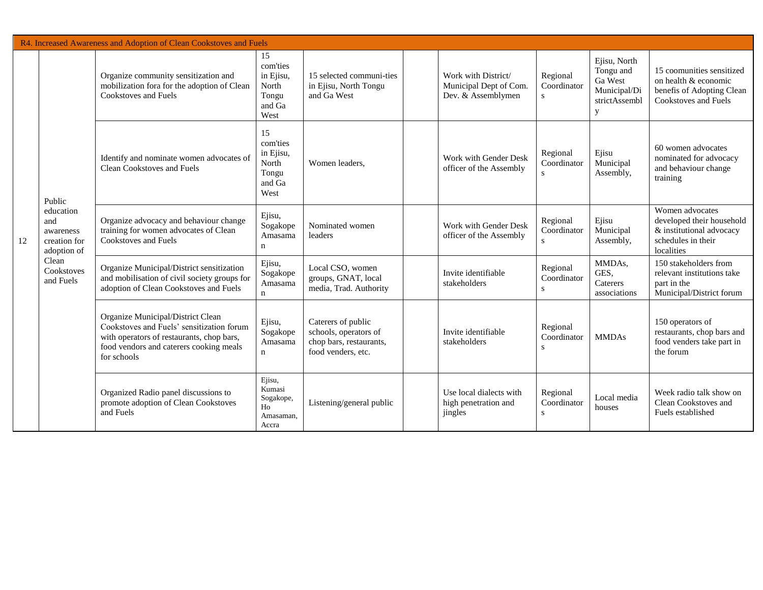| R4. Increased Awareness and Adoption of Clean Cookstoves and Fuels |                                                                                                            |                                                                                                                                                                                       |                                                                 |                                                                                              |  |                                                                     |                                         |                                                                            |                                                                                                               |
|--------------------------------------------------------------------|------------------------------------------------------------------------------------------------------------|---------------------------------------------------------------------------------------------------------------------------------------------------------------------------------------|-----------------------------------------------------------------|----------------------------------------------------------------------------------------------|--|---------------------------------------------------------------------|-----------------------------------------|----------------------------------------------------------------------------|---------------------------------------------------------------------------------------------------------------|
| 12                                                                 | Public<br>education<br>and<br>awareness<br>creation for<br>adoption of<br>Clean<br>Cookstoves<br>and Fuels | Organize community sensitization and<br>mobilization fora for the adoption of Clean<br>Cookstoves and Fuels                                                                           | 15<br>com'ties<br>in Ejisu,<br>North<br>Tongu<br>and Ga<br>West | 15 selected communi-ties<br>in Ejisu, North Tongu<br>and Ga West                             |  | Work with District/<br>Municipal Dept of Com.<br>Dev. & Assemblymen | Regional<br>Coordinator<br>s            | Ejisu, North<br>Tongu and<br>Ga West<br>Municipal/Di<br>strictAssembl<br>y | 15 coomunities sensitized<br>on health & economic<br>benefis of Adopting Clean<br><b>Cookstoves and Fuels</b> |
|                                                                    |                                                                                                            | Identify and nominate women advocates of<br><b>Clean Cookstoves and Fuels</b>                                                                                                         | 15<br>com'ties<br>in Ejisu,<br>North<br>Tongu<br>and Ga<br>West | Women leaders,                                                                               |  | Work with Gender Desk<br>officer of the Assembly                    | Regional<br>Coordinator<br>$\mathbf{s}$ | Ejisu<br>Municipal<br>Assembly,                                            | 60 women advocates<br>nominated for advocacy<br>and behaviour change<br>training                              |
|                                                                    |                                                                                                            | Organize advocacy and behaviour change<br>training for women advocates of Clean<br>Cookstoves and Fuels                                                                               | Ejisu,<br>Sogakope<br>Amasama<br>n                              | Nominated women<br>leaders                                                                   |  | Work with Gender Desk<br>officer of the Assembly                    | Regional<br>Coordinator                 | Ejisu<br>Municipal<br>Assembly,                                            | Women advocates<br>developed their household<br>& institutional advocacy<br>schedules in their<br>localities  |
|                                                                    |                                                                                                            | Organize Municipal/District sensitization<br>and mobilisation of civil society groups for<br>adoption of Clean Cookstoves and Fuels                                                   | Ejisu,<br>Sogakope<br>Amasama<br>$\mathbf n$                    | Local CSO, women<br>groups, GNAT, local<br>media, Trad. Authority                            |  | Invite identifiable<br>stakeholders                                 | Regional<br>Coordinator<br>S            | MMDAs,<br>GES,<br>Caterers<br>associations                                 | 150 stakeholders from<br>relevant institutions take<br>part in the<br>Municipal/District forum                |
|                                                                    |                                                                                                            | Organize Municipal/District Clean<br>Cookstoves and Fuels' sensitization forum<br>with operators of restaurants, chop bars,<br>food vendors and caterers cooking meals<br>for schools | Ejisu,<br>Sogakope<br>Amasama<br>$\mathbf n$                    | Caterers of public<br>schools, operators of<br>chop bars, restaurants,<br>food venders, etc. |  | Invite identifiable<br>stakeholders                                 | Regional<br>Coordinator<br>s            | <b>MMDAs</b>                                                               | 150 operators of<br>restaurants, chop bars and<br>food venders take part in<br>the forum                      |
|                                                                    |                                                                                                            | Organized Radio panel discussions to<br>promote adoption of Clean Cookstoves<br>and Fuels                                                                                             | Ejisu,<br>Kumasi<br>Sogakope,<br>Ho<br>Amasaman,<br>Accra       | Listening/general public                                                                     |  | Use local dialects with<br>high penetration and<br>jingles          | Regional<br>Coordinator<br>S            | Local media<br>houses                                                      | Week radio talk show on<br>Clean Cookstoves and<br>Fuels established                                          |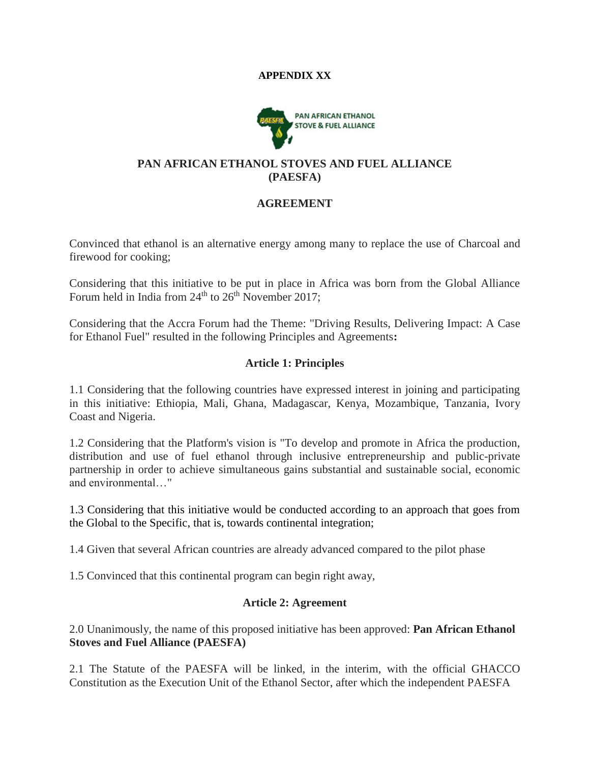#### **APPENDIX XX**



#### **PAN AFRICAN ETHANOL STOVES AND FUEL ALLIANCE (PAESFA)**

#### **AGREEMENT**

Convinced that ethanol is an alternative energy among many to replace the use of Charcoal and firewood for cooking;

Considering that this initiative to be put in place in Africa was born from the Global Alliance Forum held in India from  $24<sup>th</sup>$  to  $26<sup>th</sup>$  November 2017;

Considering that the Accra Forum had the Theme: "Driving Results, Delivering Impact: A Case for Ethanol Fuel" resulted in the following Principles and Agreements**:**

#### **Article 1: Principles**

1.1 Considering that the following countries have expressed interest in joining and participating in this initiative: Ethiopia, Mali, Ghana, Madagascar, Kenya, Mozambique, Tanzania, Ivory Coast and Nigeria.

1.2 Considering that the Platform's vision is "To develop and promote in Africa the production, distribution and use of fuel ethanol through inclusive entrepreneurship and public-private partnership in order to achieve simultaneous gains substantial and sustainable social, economic and environmental…"

1.3 Considering that this initiative would be conducted according to an approach that goes from the Global to the Specific, that is, towards continental integration;

1.4 Given that several African countries are already advanced compared to the pilot phase

1.5 Convinced that this continental program can begin right away,

# **Article 2: Agreement**

2.0 Unanimously, the name of this proposed initiative has been approved: **Pan African Ethanol Stoves and Fuel Alliance (PAESFA)**

2.1 The Statute of the PAESFA will be linked, in the interim, with the official GHACCO Constitution as the Execution Unit of the Ethanol Sector, after which the independent PAESFA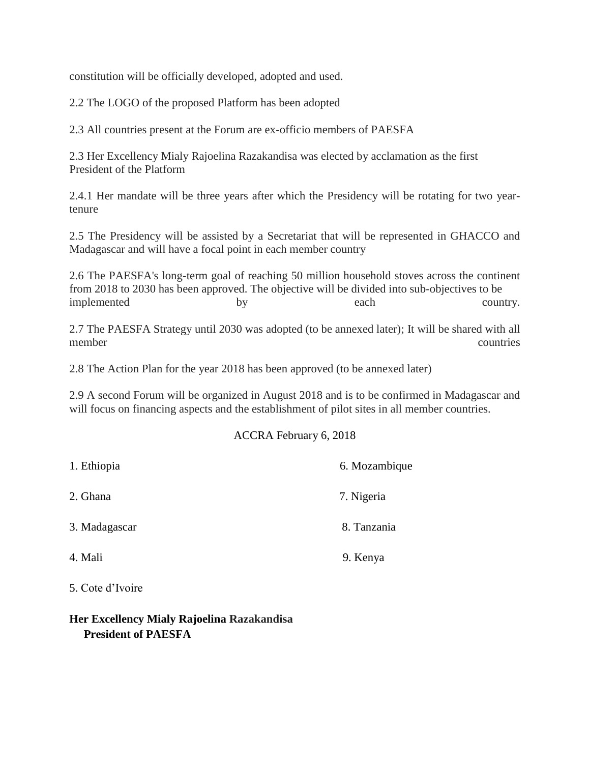constitution will be officially developed, adopted and used.

2.2 The LOGO of the proposed Platform has been adopted

2.3 All countries present at the Forum are ex-officio members of PAESFA

2.3 Her Excellency Mialy Rajoelina Razakandisa was elected by acclamation as the first President of the Platform

2.4.1 Her mandate will be three years after which the Presidency will be rotating for two yeartenure

2.5 The Presidency will be assisted by a Secretariat that will be represented in GHACCO and Madagascar and will have a focal point in each member country

2.6 The PAESFA's long-term goal of reaching 50 million household stoves across the continent from 2018 to 2030 has been approved. The objective will be divided into sub-objectives to be implemented by each country.

2.7 The PAESFA Strategy until 2030 was adopted (to be annexed later); It will be shared with all member countries

2.8 The Action Plan for the year 2018 has been approved (to be annexed later)

2.9 A second Forum will be organized in August 2018 and is to be confirmed in Madagascar and will focus on financing aspects and the establishment of pilot sites in all member countries.

#### ACCRA February 6, 2018

| 1. Ethiopia   | 6. Mozambique |
|---------------|---------------|
| 2. Ghana      | 7. Nigeria    |
| 3. Madagascar | 8. Tanzania   |
| 4. Mali       | 9. Kenya      |
|               |               |

5. Cote d'Ivoire

# **Her Excellency Mialy Rajoelina Razakandisa President of PAESFA**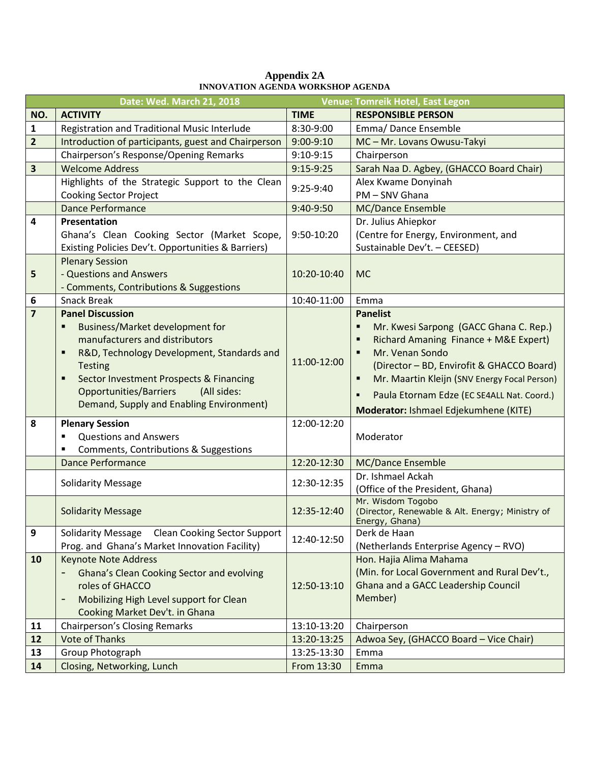|                         | Date: Wed. March 21, 2018                                                                        |             | Venue: Tomreik Hotel, East Legon                                     |
|-------------------------|--------------------------------------------------------------------------------------------------|-------------|----------------------------------------------------------------------|
| NO.                     | <b>ACTIVITY</b>                                                                                  | <b>TIME</b> | <b>RESPONSIBLE PERSON</b>                                            |
| $\mathbf{1}$            | Registration and Traditional Music Interlude                                                     | 8:30-9:00   | Emma/Dance Ensemble                                                  |
| $\overline{2}$          | Introduction of participants, guest and Chairperson                                              | 9:00-9:10   | MC-Mr. Lovans Owusu-Takyi                                            |
|                         | Chairperson's Response/Opening Remarks                                                           | $9:10-9:15$ | Chairperson                                                          |
| $\overline{\mathbf{3}}$ | <b>Welcome Address</b>                                                                           | 9:15-9:25   | Sarah Naa D. Agbey, (GHACCO Board Chair)                             |
|                         | Highlights of the Strategic Support to the Clean                                                 | 9:25-9:40   | Alex Kwame Donyinah                                                  |
|                         | <b>Cooking Sector Project</b>                                                                    |             | PM - SNV Ghana                                                       |
|                         | <b>Dance Performance</b>                                                                         | 9:40-9:50   | MC/Dance Ensemble                                                    |
| 4                       | Presentation                                                                                     |             | Dr. Julius Ahiepkor                                                  |
|                         | Ghana's Clean Cooking Sector (Market Scope,                                                      | 9:50-10:20  | (Centre for Energy, Environment, and                                 |
|                         | Existing Policies Dev't. Opportunities & Barriers)                                               |             | Sustainable Dev't. - CEESED)                                         |
|                         | <b>Plenary Session</b>                                                                           |             |                                                                      |
| 5                       | - Questions and Answers                                                                          | 10:20-10:40 | <b>MC</b>                                                            |
|                         | - Comments, Contributions & Suggestions                                                          |             |                                                                      |
| 6                       | <b>Snack Break</b>                                                                               | 10:40-11:00 | Emma                                                                 |
| $\overline{7}$          | <b>Panel Discussion</b>                                                                          |             | <b>Panelist</b>                                                      |
|                         | <b>Business/Market development for</b><br>٠                                                      |             | Mr. Kwesi Sarpong (GACC Ghana C. Rep.)<br>٠                          |
|                         | manufacturers and distributors                                                                   |             | Richard Amaning Finance + M&E Expert)<br>٠                           |
|                         | R&D, Technology Development, Standards and<br>п                                                  | 11:00-12:00 | Mr. Venan Sondo<br>٠                                                 |
|                         | <b>Testing</b>                                                                                   |             | (Director - BD, Envirofit & GHACCO Board)                            |
|                         | <b>Sector Investment Prospects &amp; Financing</b><br>٠<br>Opportunities/Barriers<br>(All sides: |             | Mr. Maartin Kleijn (SNV Energy Focal Person)<br>٠                    |
|                         | Demand, Supply and Enabling Environment)                                                         |             | Paula Etornam Edze (EC SE4ALL Nat. Coord.)<br>٠                      |
|                         |                                                                                                  |             | Moderator: Ishmael Edjekumhene (KITE)                                |
| 8                       | <b>Plenary Session</b>                                                                           | 12:00-12:20 |                                                                      |
|                         | <b>Questions and Answers</b><br>$\blacksquare$                                                   |             | Moderator                                                            |
|                         | Comments, Contributions & Suggestions<br>٠                                                       |             |                                                                      |
|                         | <b>Dance Performance</b>                                                                         | 12:20-12:30 | MC/Dance Ensemble                                                    |
|                         | <b>Solidarity Message</b>                                                                        | 12:30-12:35 | Dr. Ishmael Ackah                                                    |
|                         |                                                                                                  |             | (Office of the President, Ghana)                                     |
|                         | <b>Solidarity Message</b>                                                                        | 12:35-12:40 | Mr. Wisdom Togobo<br>(Director, Renewable & Alt. Energy; Ministry of |
|                         |                                                                                                  |             | Energy, Ghana)                                                       |
| 9                       | Solidarity Message Clean Cooking Sector Support                                                  | 12:40-12:50 | Derk de Haan                                                         |
|                         | Prog. and Ghana's Market Innovation Facility)                                                    |             | (Netherlands Enterprise Agency - RVO)                                |
| 10                      | <b>Keynote Note Address</b>                                                                      |             | Hon. Hajia Alima Mahama                                              |
|                         | Ghana's Clean Cooking Sector and evolving                                                        |             | (Min. for Local Government and Rural Dev't.,                         |
|                         | roles of GHACCO                                                                                  | 12:50-13:10 | Ghana and a GACC Leadership Council                                  |
|                         | Mobilizing High Level support for Clean                                                          |             | Member)                                                              |
|                         | Cooking Market Dev't. in Ghana                                                                   |             |                                                                      |
| 11                      | <b>Chairperson's Closing Remarks</b>                                                             | 13:10-13:20 | Chairperson                                                          |
| 12                      | <b>Vote of Thanks</b>                                                                            | 13:20-13:25 | Adwoa Sey, (GHACCO Board - Vice Chair)                               |
| 13                      | Group Photograph                                                                                 | 13:25-13:30 | Emma                                                                 |
| 14                      | Closing, Networking, Lunch                                                                       | From 13:30  | Emma                                                                 |

#### **Appendix 2A INNOVATION AGENDA WORKSHOP AGENDA**